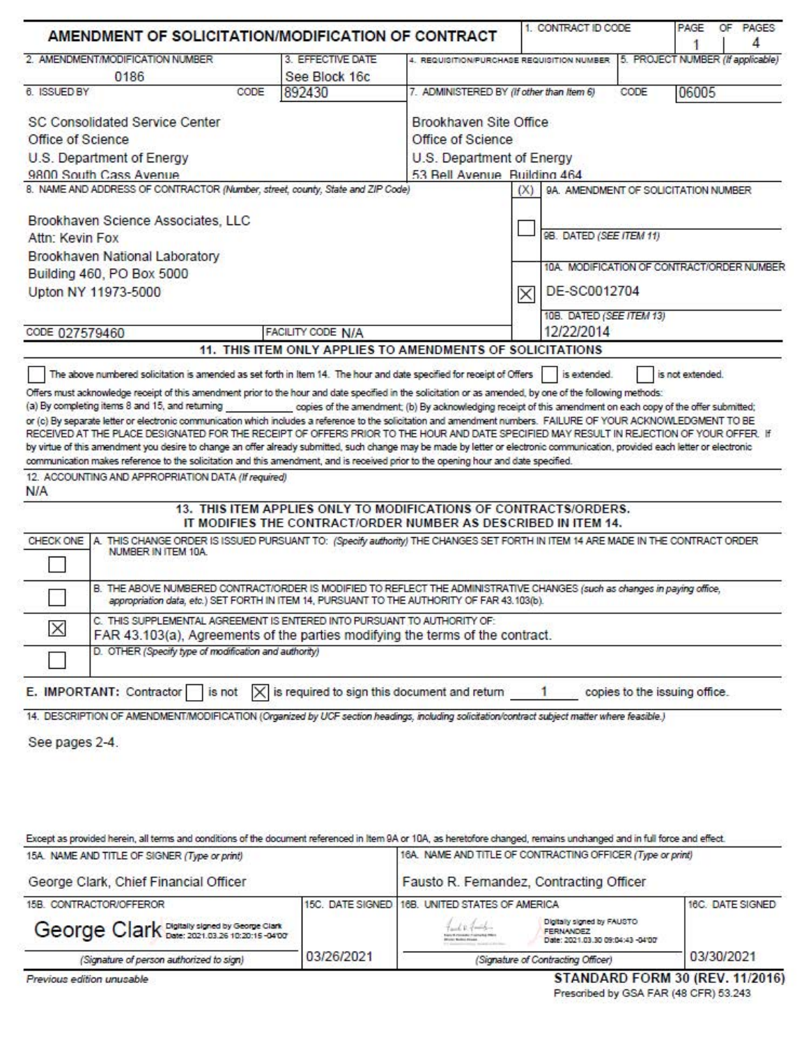| AMENDMENT OF SOLICITATION/MODIFICATION OF CONTRACT                                                                                                                                                                                                                                                                                                                                                            |                                                                                                                                    |                                                            | 1. CONTRACT ID CODE      | PAGE<br>OF PAGES<br>4<br>1                |
|---------------------------------------------------------------------------------------------------------------------------------------------------------------------------------------------------------------------------------------------------------------------------------------------------------------------------------------------------------------------------------------------------------------|------------------------------------------------------------------------------------------------------------------------------------|------------------------------------------------------------|--------------------------|-------------------------------------------|
| 2. AMENDMENT/MODIFICATION NUMBER                                                                                                                                                                                                                                                                                                                                                                              | 3. EFFECTIVE DATE                                                                                                                  | 4. REQUISITION/PURCHASE REQUISITION NUMBER                 |                          | 5. PROJECT NUMBER (If applicable)         |
| 0186                                                                                                                                                                                                                                                                                                                                                                                                          | See Block 16c                                                                                                                      |                                                            |                          |                                           |
| 6. ISSUED BY<br>CODE                                                                                                                                                                                                                                                                                                                                                                                          | 892430                                                                                                                             | 7. ADMINISTERED BY (If other than Item 6)                  |                          | CODE<br>06005                             |
| <b>SC Consolidated Service Center</b>                                                                                                                                                                                                                                                                                                                                                                         |                                                                                                                                    | Brookhaven Site Office                                     |                          |                                           |
| Office of Science                                                                                                                                                                                                                                                                                                                                                                                             |                                                                                                                                    | Office of Science                                          |                          |                                           |
| U.S. Department of Energy                                                                                                                                                                                                                                                                                                                                                                                     |                                                                                                                                    | U.S. Department of Energy                                  |                          |                                           |
| 9800 South Cass Avenue                                                                                                                                                                                                                                                                                                                                                                                        |                                                                                                                                    | 53 Bell Avenue Building 464                                |                          |                                           |
| 8. NAME AND ADDRESS OF CONTRACTOR (Number, street, county, State and ZIP Code)                                                                                                                                                                                                                                                                                                                                |                                                                                                                                    |                                                            | (X)                      | 9A. AMENDMENT OF SOLICITATION NUMBER      |
| Brookhaven Science Associates, LLC                                                                                                                                                                                                                                                                                                                                                                            |                                                                                                                                    |                                                            |                          |                                           |
| Attn: Kevin Fox                                                                                                                                                                                                                                                                                                                                                                                               |                                                                                                                                    |                                                            | 98. DATED (SEE ITEM 11)  |                                           |
| Brookhaven National Laboratory                                                                                                                                                                                                                                                                                                                                                                                |                                                                                                                                    |                                                            |                          |                                           |
| Building 460, PO Box 5000                                                                                                                                                                                                                                                                                                                                                                                     |                                                                                                                                    |                                                            |                          | 10A MODIFICATION OF CONTRACT/ORDER NUMBER |
| Upton NY 11973-5000                                                                                                                                                                                                                                                                                                                                                                                           |                                                                                                                                    |                                                            | DE-SC0012704<br>$\times$ |                                           |
|                                                                                                                                                                                                                                                                                                                                                                                                               |                                                                                                                                    |                                                            | 10B. DATED (SEE ITEM 13) |                                           |
| CODE 027579460                                                                                                                                                                                                                                                                                                                                                                                                | FACILITY CODE N/A                                                                                                                  |                                                            | 12/22/2014               |                                           |
|                                                                                                                                                                                                                                                                                                                                                                                                               | 11. THIS ITEM ONLY APPLIES TO AMENDMENTS OF SOLICITATIONS                                                                          |                                                            |                          |                                           |
| <b>N/A</b><br>A. THIS CHANGE ORDER IS ISSUED PURSUANT TO: (Specify authority) THE CHANGES SET FORTH IN ITEM 14 ARE MADE IN THE CONTRACT ORDER<br>CHECK ONE<br>NUMBER IN ITEM 10A.<br>B. THE ABOVE NUMBERED CONTRACT/ORDER IS MODIFIED TO REFLECT THE ADMINISTRATIVE CHANGES (such as changes in paying office,<br>appropriation data, etc.) SET FORTH IN ITEM 14, PURSUANT TO THE AUTHORITY OF FAR 43.103(b). | 13. THIS ITEM APPLIES ONLY TO MODIFICATIONS OF CONTRACTS/ORDERS.<br>IT MODIFIES THE CONTRACT/ORDER NUMBER AS DESCRIBED IN ITEM 14. |                                                            |                          |                                           |
| C. THIS SUPPLEMENTAL AGREEMENT IS ENTERED INTO PURSUANT TO AUTHORITY OF:<br>$\times$<br>FAR 43.103(a), Agreements of the parties modifying the terms of the contract.                                                                                                                                                                                                                                         |                                                                                                                                    |                                                            |                          |                                           |
| D. OTHER (Specify type of modification and authority)                                                                                                                                                                                                                                                                                                                                                         |                                                                                                                                    |                                                            |                          |                                           |
| E. IMPORTANT: Contractor is not                                                                                                                                                                                                                                                                                                                                                                               | $\times$ is required to sign this document and return                                                                              |                                                            | $-1$                     | copies to the issuing office.             |
| 14. DESCRIPTION OF AMENDMENT/MODIFICATION (Organized by UCF section headings, including solicitation/contract subject matter where feasible.)<br>See pages 2-4.<br>Except as provided herein, all terms and conditions of the document referenced in Item 9A or 10A, as heretofore changed, remains unchanged and in full force and effect.<br>15A. NAME AND TITLE OF SIGNER (Type or print)                  |                                                                                                                                    | 16A. NAME AND TITLE OF CONTRACTING OFFICER (Type or print) |                          |                                           |
| George Clark, Chief Financial Officer                                                                                                                                                                                                                                                                                                                                                                         |                                                                                                                                    | Fausto R. Femandez, Contracting Officer                    |                          |                                           |
| 15B. CONTRACTOR/OFFEROR                                                                                                                                                                                                                                                                                                                                                                                       |                                                                                                                                    | 15C. DATE SIGNED 16B. UNITED STATES OF AMERICA             |                          | 16C. DATE SIGNED                          |

| 15B. CONTRACTOR/OFFEROR                     |            | 15C. DATE SIGNED 16B. UNITED STATES OF AMERICA | 16C. DATE SIGNED                                                                   |            |
|---------------------------------------------|------------|------------------------------------------------|------------------------------------------------------------------------------------|------------|
| George Clark Date: 2021.03.26 10:20:15-0400 |            | <b>Brown Bulletin Rouge</b>                    | Digitally signed by FAUSTO<br><b>FERNANDEZ</b><br>Date: 2021.03.30 09:04:43 -04:00 |            |
| (Signature of person authorized to sign)    | 03/26/2021 | (Signature of Contracting Officer)             |                                                                                    | 03/30/2021 |

Previous edition unusable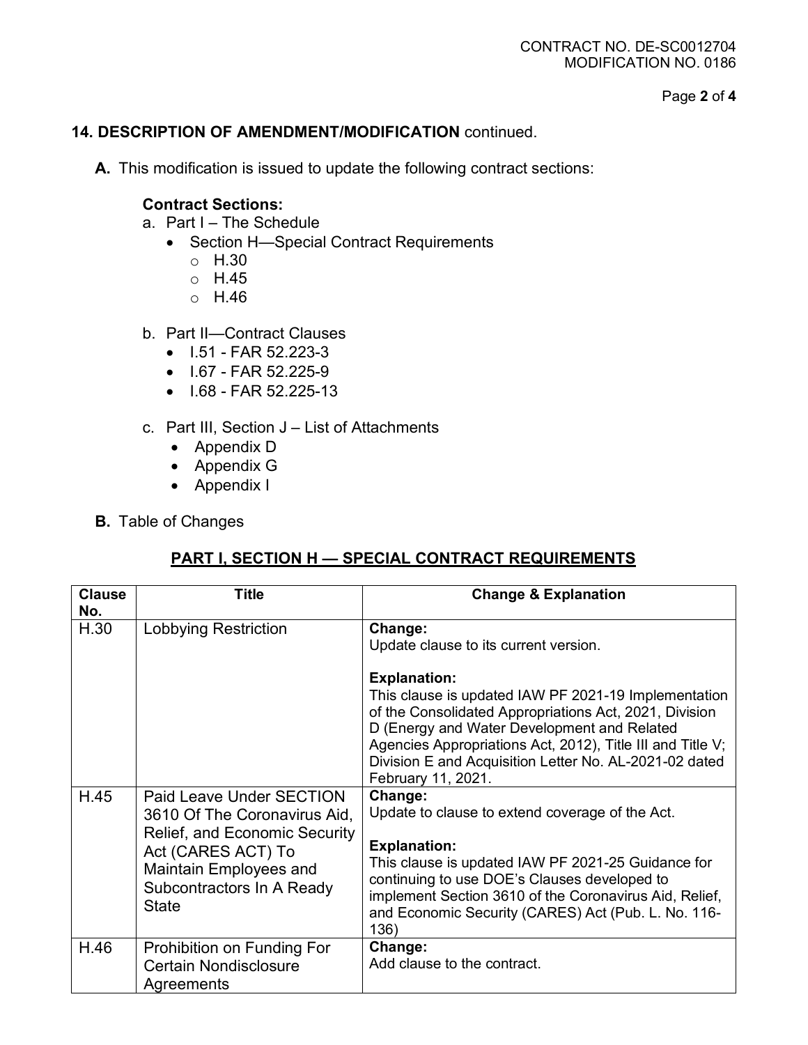Page **2** of **4**

### **14. DESCRIPTION OF AMENDMENT/MODIFICATION** continued.

**A.** This modification is issued to update the following contract sections:

### **Contract Sections:**

- a. Part I The Schedule
	- Section H—Special Contract Requirements
		- o H.30
		- o H.45
		- o H.46
- b. Part II—Contract Clauses
	- I.51 FAR 52.223-3
	- I.67 FAR 52.225-9
	- I.68 FAR 52.225-13
- c. Part III, Section J List of Attachments
	- Appendix D
	- Appendix G
	- Appendix I
- **B.** Table of Changes

### **PART I, SECTION H — SPECIAL CONTRACT REQUIREMENTS**

| <b>Clause</b><br>No. | <b>Title</b>                                                                                                                                                                           | <b>Change &amp; Explanation</b>                                                                                                                                                                                                                                                                                                                                  |
|----------------------|----------------------------------------------------------------------------------------------------------------------------------------------------------------------------------------|------------------------------------------------------------------------------------------------------------------------------------------------------------------------------------------------------------------------------------------------------------------------------------------------------------------------------------------------------------------|
| H.30                 | <b>Lobbying Restriction</b>                                                                                                                                                            | Change:<br>Update clause to its current version.<br><b>Explanation:</b><br>This clause is updated IAW PF 2021-19 Implementation<br>of the Consolidated Appropriations Act, 2021, Division<br>D (Energy and Water Development and Related<br>Agencies Appropriations Act, 2012), Title III and Title V;<br>Division E and Acquisition Letter No. AL-2021-02 dated |
| H.45                 | Paid Leave Under SECTION<br>3610 Of The Coronavirus Aid,<br>Relief, and Economic Security<br>Act (CARES ACT) To<br>Maintain Employees and<br>Subcontractors In A Ready<br><b>State</b> | February 11, 2021.<br>Change:<br>Update to clause to extend coverage of the Act.<br><b>Explanation:</b><br>This clause is updated IAW PF 2021-25 Guidance for<br>continuing to use DOE's Clauses developed to<br>implement Section 3610 of the Coronavirus Aid, Relief,<br>and Economic Security (CARES) Act (Pub. L. No. 116-<br>136)                           |
| H.46                 | Prohibition on Funding For<br><b>Certain Nondisclosure</b><br>Agreements                                                                                                               | Change:<br>Add clause to the contract.                                                                                                                                                                                                                                                                                                                           |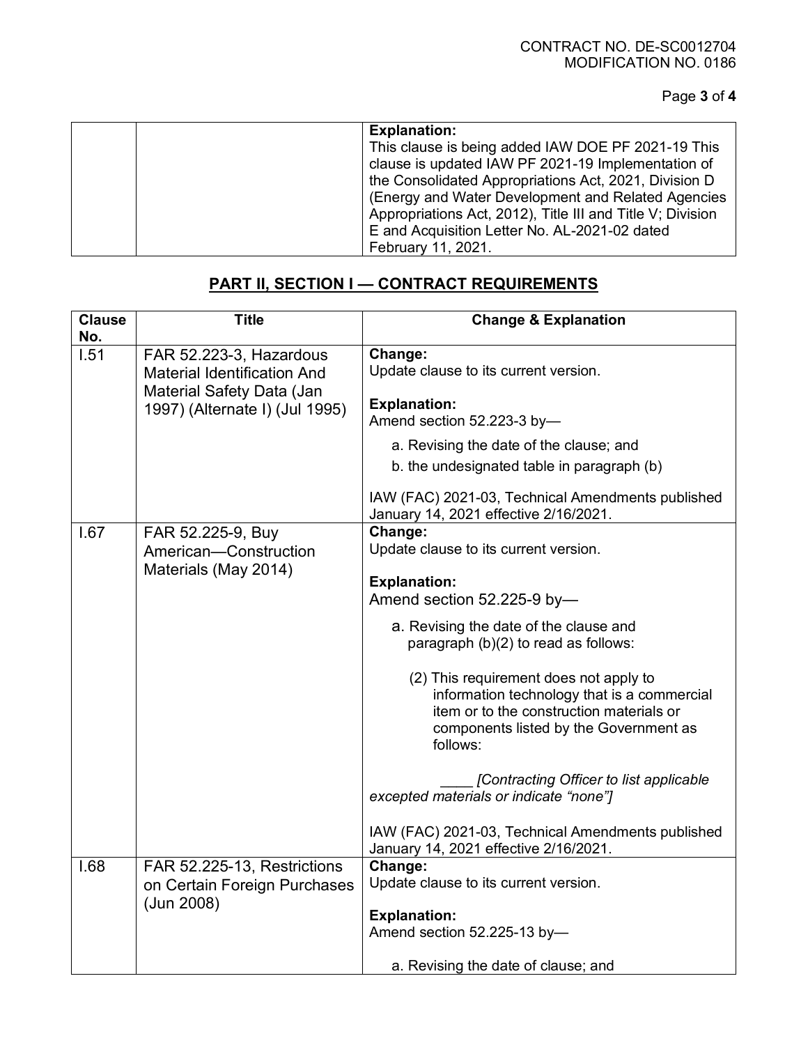Page **3** of **4**

| <b>Explanation:</b>                                        |
|------------------------------------------------------------|
| This clause is being added IAW DOE PF 2021-19 This         |
| clause is updated IAW PF 2021-19 Implementation of         |
| the Consolidated Appropriations Act, 2021, Division D      |
| (Energy and Water Development and Related Agencies         |
| Appropriations Act, 2012), Title III and Title V; Division |
| E and Acquisition Letter No. AL-2021-02 dated              |
| February 11, 2021.                                         |

# **PART II, SECTION I — CONTRACT REQUIREMENTS**

| <b>Clause</b> | <b>Title</b>                                                    | <b>Change &amp; Explanation</b>                                                                                                                                                         |  |  |
|---------------|-----------------------------------------------------------------|-----------------------------------------------------------------------------------------------------------------------------------------------------------------------------------------|--|--|
| No.<br>1.51   | FAR 52.223-3, Hazardous                                         | Change:                                                                                                                                                                                 |  |  |
|               | <b>Material Identification And</b><br>Material Safety Data (Jan | Update clause to its current version.                                                                                                                                                   |  |  |
|               | 1997) (Alternate I) (Jul 1995)                                  | <b>Explanation:</b>                                                                                                                                                                     |  |  |
|               |                                                                 | Amend section 52.223-3 by-                                                                                                                                                              |  |  |
|               |                                                                 | a. Revising the date of the clause; and                                                                                                                                                 |  |  |
|               |                                                                 | b. the undesignated table in paragraph (b)                                                                                                                                              |  |  |
|               |                                                                 | IAW (FAC) 2021-03, Technical Amendments published<br>January 14, 2021 effective 2/16/2021.                                                                                              |  |  |
| 1.67          | FAR 52.225-9, Buy                                               | Change:                                                                                                                                                                                 |  |  |
|               | American-Construction                                           | Update clause to its current version.                                                                                                                                                   |  |  |
|               | Materials (May 2014)                                            | <b>Explanation:</b>                                                                                                                                                                     |  |  |
|               |                                                                 | Amend section 52.225-9 by-                                                                                                                                                              |  |  |
|               |                                                                 |                                                                                                                                                                                         |  |  |
|               |                                                                 | a. Revising the date of the clause and<br>paragraph (b)(2) to read as follows:                                                                                                          |  |  |
|               |                                                                 | (2) This requirement does not apply to<br>information technology that is a commercial<br>item or to the construction materials or<br>components listed by the Government as<br>follows: |  |  |
|               |                                                                 | [Contracting Officer to list applicable<br>excepted materials or indicate "none"]                                                                                                       |  |  |
|               |                                                                 | IAW (FAC) 2021-03, Technical Amendments published<br>January 14, 2021 effective 2/16/2021.                                                                                              |  |  |
| 1.68          | FAR 52.225-13, Restrictions                                     | Change:                                                                                                                                                                                 |  |  |
|               | on Certain Foreign Purchases<br>(Jun 2008)                      | Update clause to its current version.                                                                                                                                                   |  |  |
|               |                                                                 | <b>Explanation:</b>                                                                                                                                                                     |  |  |
|               |                                                                 | Amend section 52.225-13 by-                                                                                                                                                             |  |  |
|               |                                                                 | a. Revising the date of clause; and                                                                                                                                                     |  |  |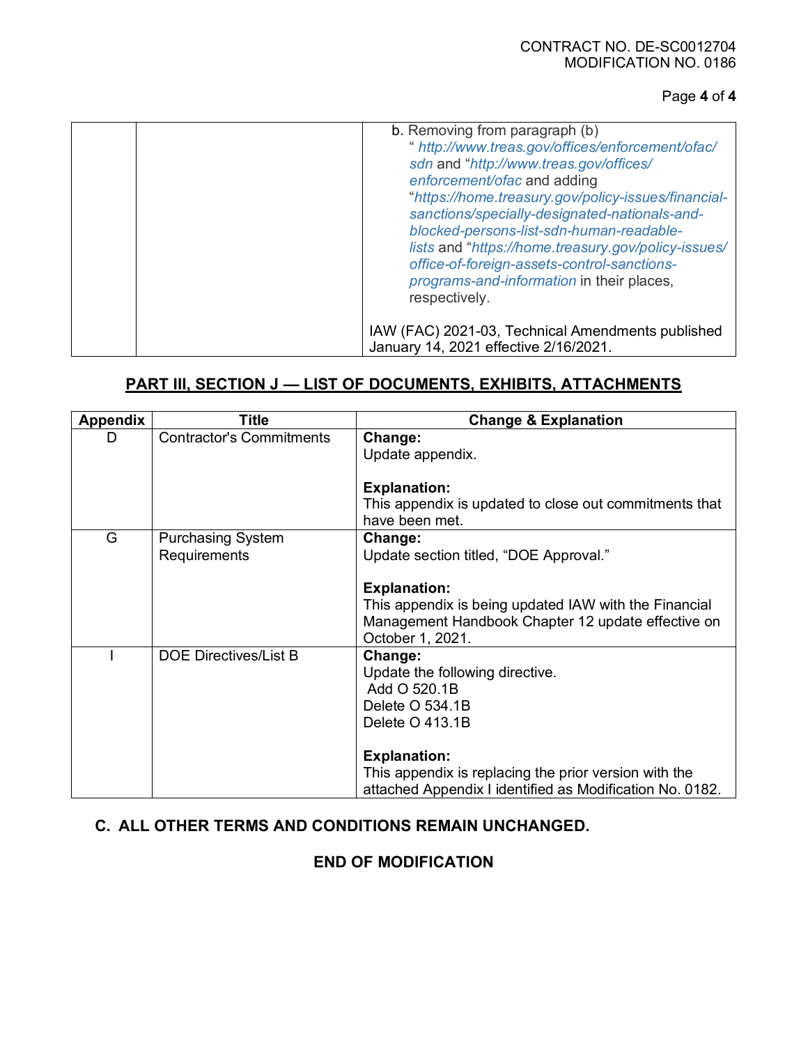#### CONTRACT NO. DE-SC0012704 MODIFICATION NO. 0186

### Page **4** of **4**

| b. Removing from paragraph (b)                      |
|-----------------------------------------------------|
|                                                     |
| " http://www.treas.gov/offices/enforcement/ofac/    |
| sdn and "http://www.treas.gov/offices/              |
| enforcement/ofac and adding                         |
|                                                     |
| "https://home.treasury.gov/policy-issues/financial- |
| sanctions/specially-designated-nationals-and-       |
| blocked-persons-list-sdn-human-readable-            |
| lists and "https://home.treasury.gov/policy-issues/ |
|                                                     |
| office-of-foreign-assets-control-sanctions-         |
| programs-and-information in their places,           |
| respectively.                                       |
|                                                     |
|                                                     |
| IAW (FAC) 2021-03, Technical Amendments published   |
| January 14, 2021 effective 2/16/2021.               |

### **PART III, SECTION J — LIST OF DOCUMENTS, EXHIBITS, ATTACHMENTS**

| <b>Appendix</b> | <b>Title</b>                    | <b>Change &amp; Explanation</b>                          |
|-----------------|---------------------------------|----------------------------------------------------------|
| D               | <b>Contractor's Commitments</b> | Change:                                                  |
|                 |                                 | Update appendix.                                         |
|                 |                                 |                                                          |
|                 |                                 | <b>Explanation:</b>                                      |
|                 |                                 | This appendix is updated to close out commitments that   |
|                 |                                 | have been met.                                           |
| G               | <b>Purchasing System</b>        | Change:                                                  |
|                 | Requirements                    | Update section titled, "DOE Approval."                   |
|                 |                                 |                                                          |
|                 |                                 | <b>Explanation:</b>                                      |
|                 |                                 | This appendix is being updated IAW with the Financial    |
|                 |                                 | Management Handbook Chapter 12 update effective on       |
|                 |                                 | October 1, 2021.                                         |
|                 | <b>DOE Directives/List B</b>    | Change:                                                  |
|                 |                                 | Update the following directive.                          |
|                 |                                 | Add O 520.1B                                             |
|                 |                                 | Delete O 534.1B                                          |
|                 |                                 | Delete O 413.1B                                          |
|                 |                                 |                                                          |
|                 |                                 | <b>Explanation:</b>                                      |
|                 |                                 | This appendix is replacing the prior version with the    |
|                 |                                 | attached Appendix I identified as Modification No. 0182. |

# **C. ALL OTHER TERMS AND CONDITIONS REMAIN UNCHANGED.**

### **END OF MODIFICATION**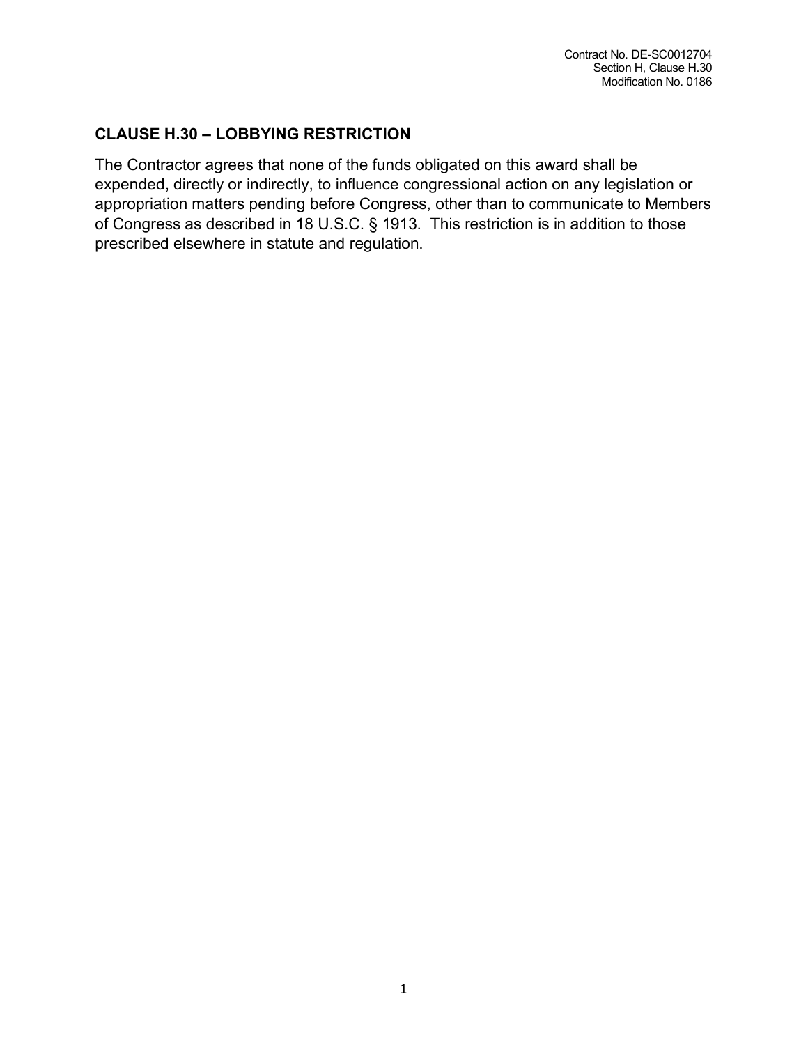## **CLAUSE H.30 – LOBBYING RESTRICTION**

The Contractor agrees that none of the funds obligated on this award shall be expended, directly or indirectly, to influence congressional action on any legislation or appropriation matters pending before Congress, other than to communicate to Members of Congress as described in 18 U.S.C. § 1913. This restriction is in addition to those prescribed elsewhere in statute and regulation.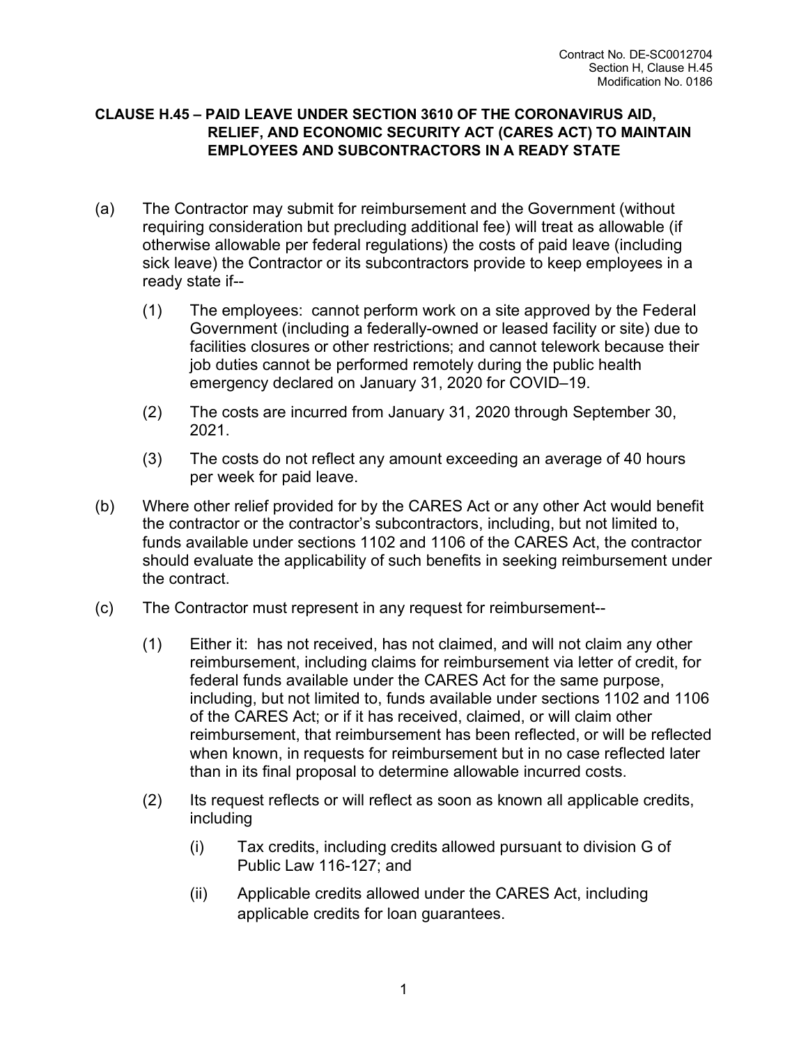### **CLAUSE H.45 – PAID LEAVE UNDER SECTION 3610 OF THE CORONAVIRUS AID, RELIEF, AND ECONOMIC SECURITY ACT (CARES ACT) TO MAINTAIN EMPLOYEES AND SUBCONTRACTORS IN A READY STATE**

- (a) The Contractor may submit for reimbursement and the Government (without requiring consideration but precluding additional fee) will treat as allowable (if otherwise allowable per federal regulations) the costs of paid leave (including sick leave) the Contractor or its subcontractors provide to keep employees in a ready state if--
	- (1) The employees: cannot perform work on a site approved by the Federal Government (including a federally-owned or leased facility or site) due to facilities closures or other restrictions; and cannot telework because their job duties cannot be performed remotely during the public health emergency declared on January 31, 2020 for COVID–19.
	- (2) The costs are incurred from January 31, 2020 through September 30, 2021.
	- (3) The costs do not reflect any amount exceeding an average of 40 hours per week for paid leave.
- (b) Where other relief provided for by the CARES Act or any other Act would benefit the contractor or the contractor's subcontractors, including, but not limited to, funds available under sections 1102 and 1106 of the CARES Act, the contractor should evaluate the applicability of such benefits in seeking reimbursement under the contract.
- (c) The Contractor must represent in any request for reimbursement--
	- (1) Either it: has not received, has not claimed, and will not claim any other reimbursement, including claims for reimbursement via letter of credit, for federal funds available under the CARES Act for the same purpose, including, but not limited to, funds available under sections 1102 and 1106 of the CARES Act; or if it has received, claimed, or will claim other reimbursement, that reimbursement has been reflected, or will be reflected when known, in requests for reimbursement but in no case reflected later than in its final proposal to determine allowable incurred costs.
	- (2) Its request reflects or will reflect as soon as known all applicable credits, including
		- (i) Tax credits, including credits allowed pursuant to division G of Public Law 116-127; and
		- (ii) Applicable credits allowed under the CARES Act, including applicable credits for loan guarantees.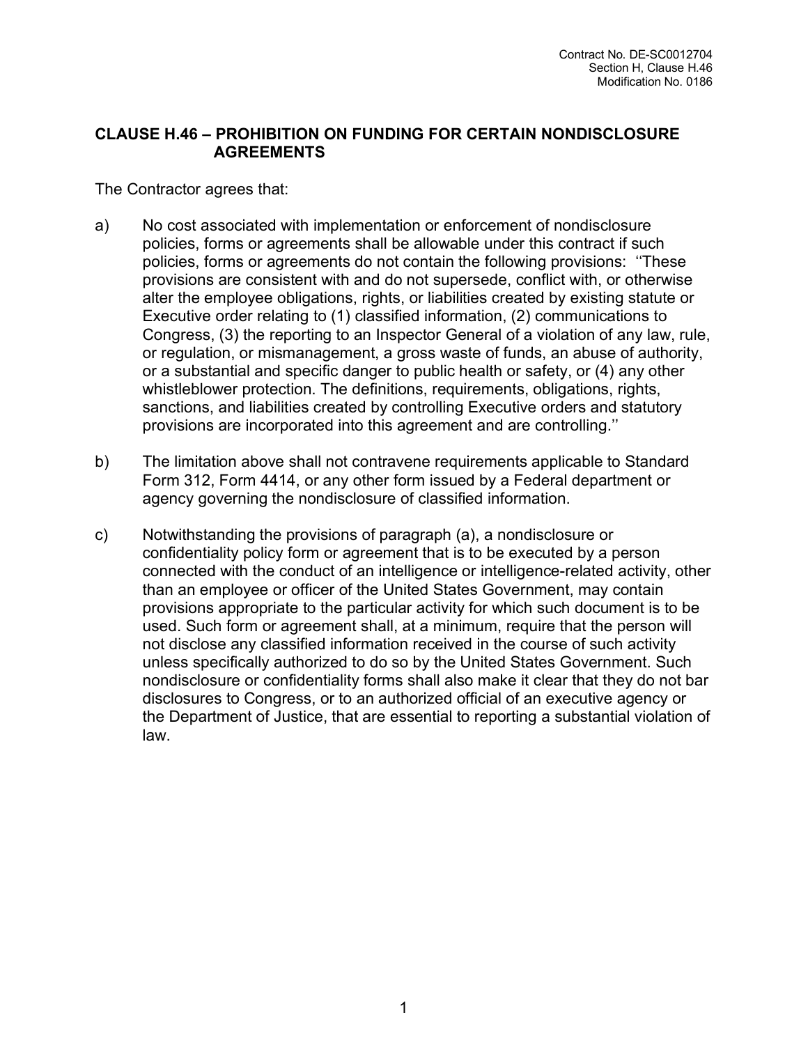### **CLAUSE H.46 – PROHIBITION ON FUNDING FOR CERTAIN NONDISCLOSURE AGREEMENTS**

The Contractor agrees that:

- a) No cost associated with implementation or enforcement of nondisclosure policies, forms or agreements shall be allowable under this contract if such policies, forms or agreements do not contain the following provisions: ''These provisions are consistent with and do not supersede, conflict with, or otherwise alter the employee obligations, rights, or liabilities created by existing statute or Executive order relating to (1) classified information, (2) communications to Congress, (3) the reporting to an Inspector General of a violation of any law, rule, or regulation, or mismanagement, a gross waste of funds, an abuse of authority, or a substantial and specific danger to public health or safety, or (4) any other whistleblower protection. The definitions, requirements, obligations, rights, sanctions, and liabilities created by controlling Executive orders and statutory provisions are incorporated into this agreement and are controlling.''
- b) The limitation above shall not contravene requirements applicable to Standard Form 312, Form 4414, or any other form issued by a Federal department or agency governing the nondisclosure of classified information.
- c) Notwithstanding the provisions of paragraph (a), a nondisclosure or confidentiality policy form or agreement that is to be executed by a person connected with the conduct of an intelligence or intelligence-related activity, other than an employee or officer of the United States Government, may contain provisions appropriate to the particular activity for which such document is to be used. Such form or agreement shall, at a minimum, require that the person will not disclose any classified information received in the course of such activity unless specifically authorized to do so by the United States Government. Such nondisclosure or confidentiality forms shall also make it clear that they do not bar disclosures to Congress, or to an authorized official of an executive agency or the Department of Justice, that are essential to reporting a substantial violation of law.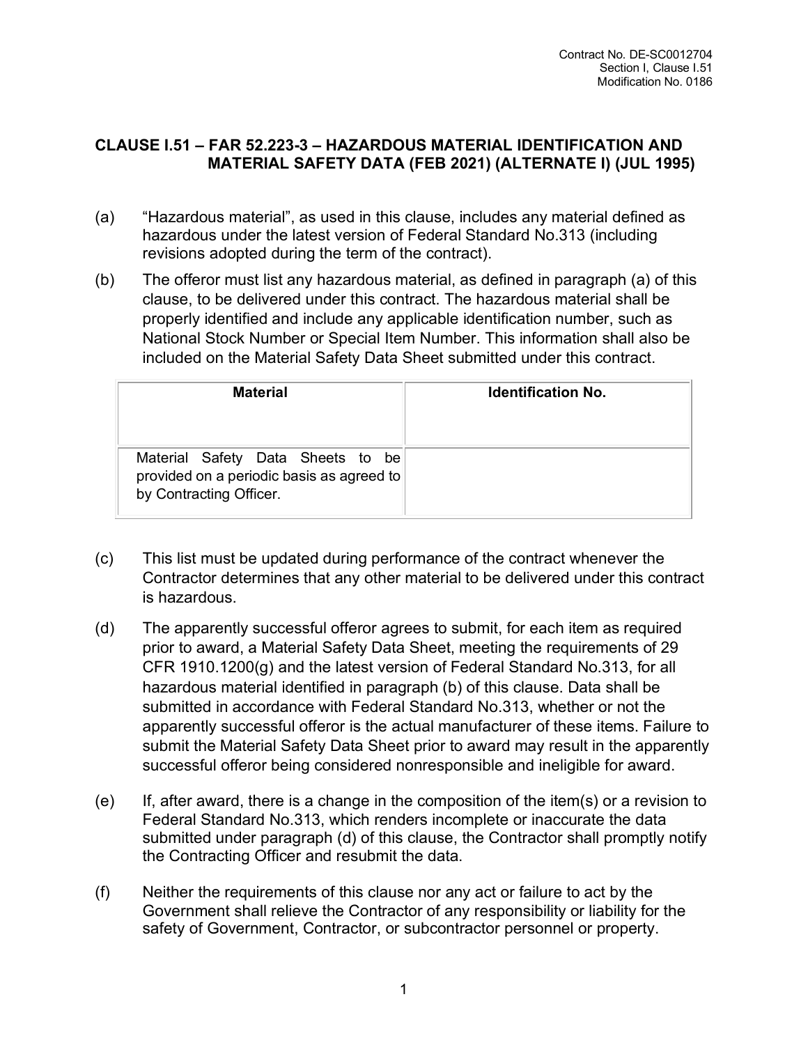## **CLAUSE I.51 – FAR 52.223-3 – HAZARDOUS MATERIAL IDENTIFICATION AND MATERIAL SAFETY DATA (FEB 2021) (ALTERNATE I) (JUL 1995)**

- (a) "Hazardous material", as used in this clause, includes any material defined as hazardous under the latest version of Federal Standard No.313 (including revisions adopted during the term of the contract).
- (b) The offeror must list any hazardous material, as defined in paragraph (a) of this clause, to be delivered under this contract. The hazardous material shall be properly identified and include any applicable identification number, such as National Stock Number or Special Item Number. This information shall also be included on the Material Safety Data Sheet submitted under this contract.

| <b>Material</b>                                                                                           | <b>Identification No.</b> |
|-----------------------------------------------------------------------------------------------------------|---------------------------|
| Material Safety Data Sheets to be<br>provided on a periodic basis as agreed to<br>by Contracting Officer. |                           |

- (c) This list must be updated during performance of the contract whenever the Contractor determines that any other material to be delivered under this contract is hazardous.
- (d) The apparently successful offeror agrees to submit, for each item as required prior to award, a Material Safety Data Sheet, meeting the requirements of 29 CFR 1910.1200(g) and the latest version of Federal Standard No.313, for all hazardous material identified in paragraph (b) of this clause. Data shall be submitted in accordance with Federal Standard No.313, whether or not the apparently successful offeror is the actual manufacturer of these items. Failure to submit the Material Safety Data Sheet prior to award may result in the apparently successful offeror being considered nonresponsible and ineligible for award.
- (e) If, after award, there is a change in the composition of the item(s) or a revision to Federal Standard No.313, which renders incomplete or inaccurate the data submitted under paragraph (d) of this clause, the Contractor shall promptly notify the Contracting Officer and resubmit the data.
- (f) Neither the requirements of this clause nor any act or failure to act by the Government shall relieve the Contractor of any responsibility or liability for the safety of Government, Contractor, or subcontractor personnel or property.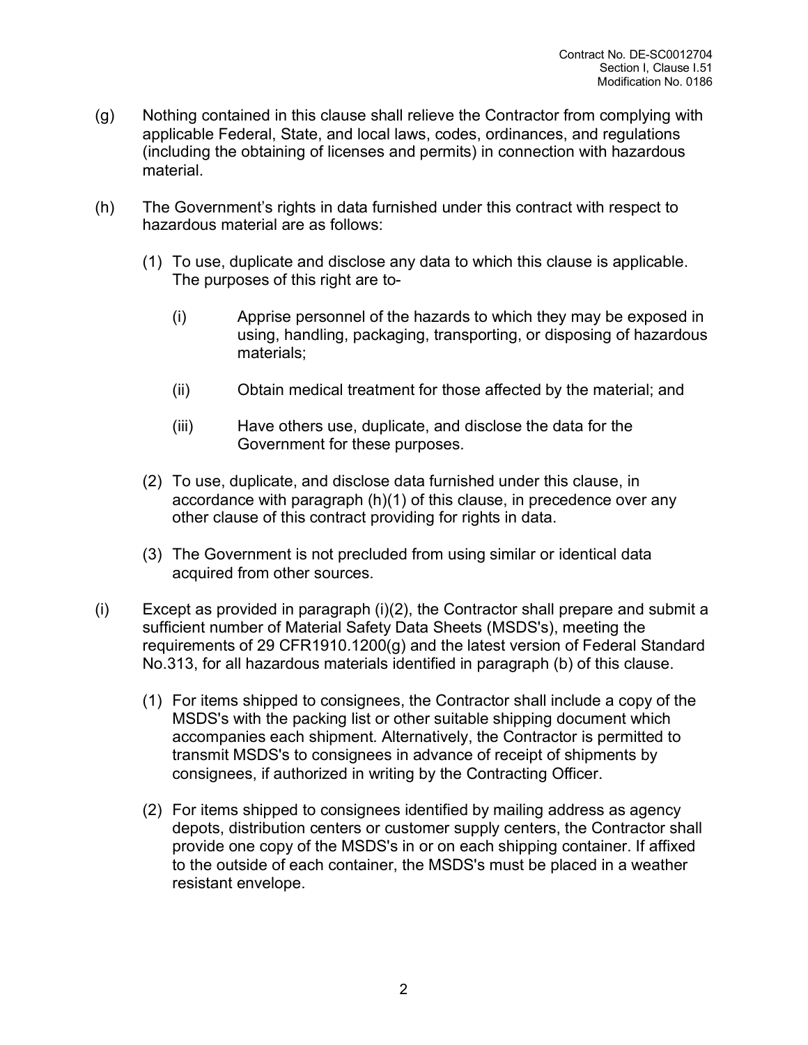- (g) Nothing contained in this clause shall relieve the Contractor from complying with applicable Federal, State, and local laws, codes, ordinances, and regulations (including the obtaining of licenses and permits) in connection with hazardous material.
- (h) The Government's rights in data furnished under this contract with respect to hazardous material are as follows:
	- (1) To use, duplicate and disclose any data to which this clause is applicable. The purposes of this right are to-
		- (i) Apprise personnel of the hazards to which they may be exposed in using, handling, packaging, transporting, or disposing of hazardous materials;
		- (ii) Obtain medical treatment for those affected by the material; and
		- (iii) Have others use, duplicate, and disclose the data for the Government for these purposes.
	- (2) To use, duplicate, and disclose data furnished under this clause, in accordance with paragraph (h)(1) of this clause, in precedence over any other clause of this contract providing for rights in data.
	- (3) The Government is not precluded from using similar or identical data acquired from other sources.
- (i) Except as provided in paragraph (i)(2), the Contractor shall prepare and submit a sufficient number of Material Safety Data Sheets (MSDS's), meeting the requirements of 29 CFR1910.1200(g) and the latest version of Federal Standard No.313, for all hazardous materials identified in paragraph (b) of this clause.
	- (1) For items shipped to consignees, the Contractor shall include a copy of the MSDS's with the packing list or other suitable shipping document which accompanies each shipment. Alternatively, the Contractor is permitted to transmit MSDS's to consignees in advance of receipt of shipments by consignees, if authorized in writing by the Contracting Officer.
	- (2) For items shipped to consignees identified by mailing address as agency depots, distribution centers or customer supply centers, the Contractor shall provide one copy of the MSDS's in or on each shipping container. If affixed to the outside of each container, the MSDS's must be placed in a weather resistant envelope.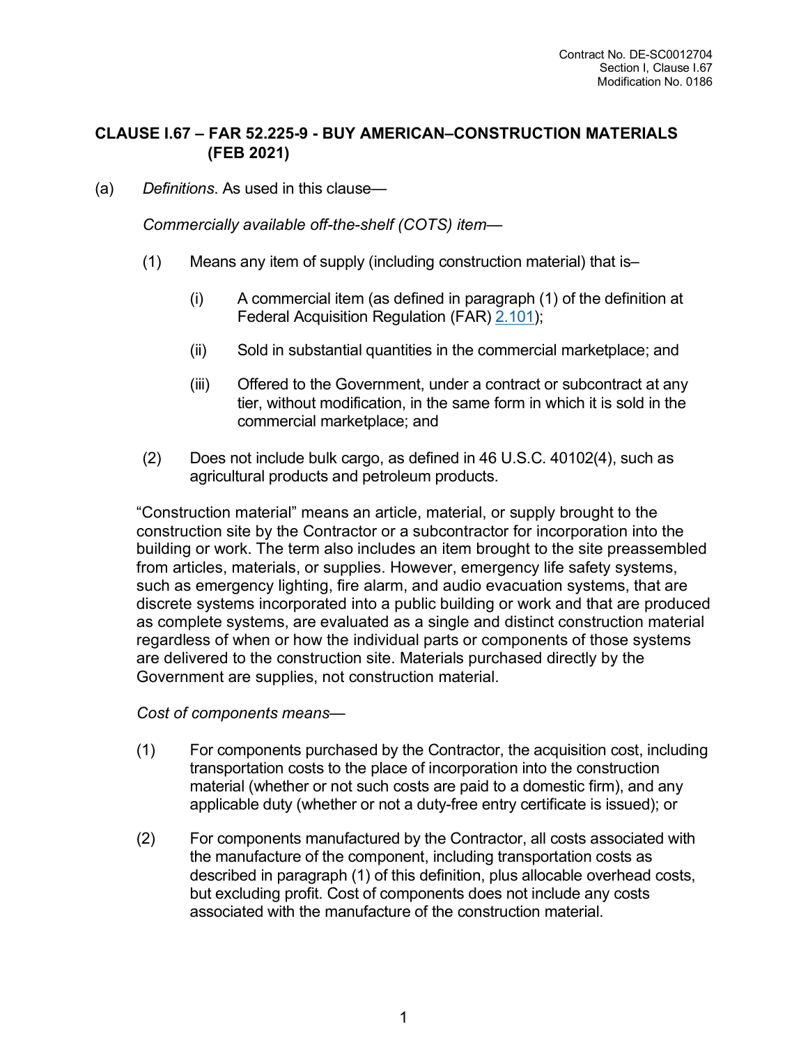## **CLAUSE I.67 – FAR 52.225-9 - BUY AMERICAN–CONSTRUCTION MATERIALS (FEB 2021)**

(a) *Definitions*. As used in this clause—

*Commercially available off-the-shelf (COTS) item*—

- (1) Means any item of supply (including construction material) that is–
	- (i) A commercial item (as defined in paragraph (1) of the definition at Federal Acquisition Regulation (FAR) [2.101\)](https://www.acquisition.gov/far/part-2#FAR_2_101);
	- (ii) Sold in substantial quantities in the commercial marketplace; and
	- (iii) Offered to the Government, under a contract or subcontract at any tier, without modification, in the same form in which it is sold in the commercial marketplace; and
- (2) Does not include bulk cargo, as defined in 46 U.S.C. 40102(4), such as agricultural products and petroleum products.

"Construction material" means an article, material, or supply brought to the construction site by the Contractor or a subcontractor for incorporation into the building or work. The term also includes an item brought to the site preassembled from articles, materials, or supplies. However, emergency life safety systems, such as emergency lighting, fire alarm, and audio evacuation systems, that are discrete systems incorporated into a public building or work and that are produced as complete systems, are evaluated as a single and distinct construction material regardless of when or how the individual parts or components of those systems are delivered to the construction site. Materials purchased directly by the Government are supplies, not construction material.

*Cost of components means*—

- (1) For components purchased by the Contractor, the acquisition cost, including transportation costs to the place of incorporation into the construction material (whether or not such costs are paid to a domestic firm), and any applicable duty (whether or not a duty-free entry certificate is issued); or
- (2) For components manufactured by the Contractor, all costs associated with the manufacture of the component, including transportation costs as described in paragraph (1) of this definition, plus allocable overhead costs, but excluding profit. Cost of components does not include any costs associated with the manufacture of the construction material.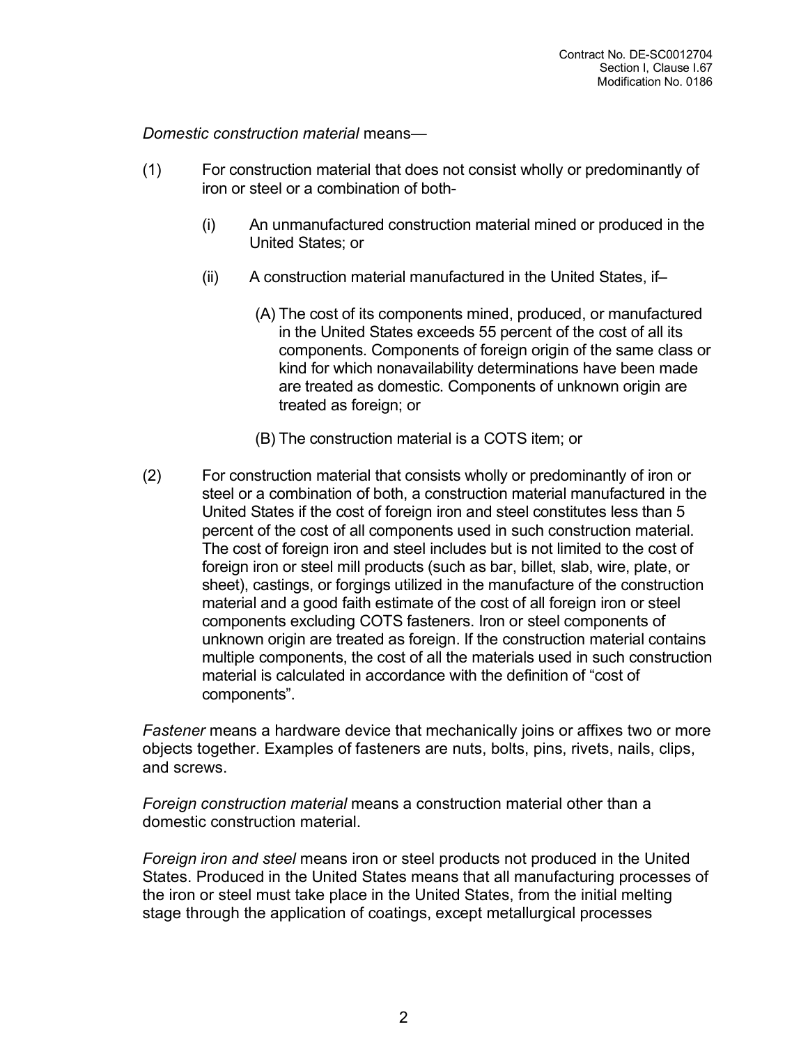*Domestic construction material* means—

- (1) For construction material that does not consist wholly or predominantly of iron or steel or a combination of both-
	- (i) An unmanufactured construction material mined or produced in the United States; or
	- (ii) A construction material manufactured in the United States, if–
		- (A) The cost of its components mined, produced, or manufactured in the United States exceeds 55 percent of the cost of all its components. Components of foreign origin of the same class or kind for which nonavailability determinations have been made are treated as domestic. Components of unknown origin are treated as foreign; or
		- (B) The construction material is a COTS item; or
- (2) For construction material that consists wholly or predominantly of iron or steel or a combination of both, a construction material manufactured in the United States if the cost of foreign iron and steel constitutes less than 5 percent of the cost of all components used in such construction material. The cost of foreign iron and steel includes but is not limited to the cost of foreign iron or steel mill products (such as bar, billet, slab, wire, plate, or sheet), castings, or forgings utilized in the manufacture of the construction material and a good faith estimate of the cost of all foreign iron or steel components excluding COTS fasteners. Iron or steel components of unknown origin are treated as foreign. If the construction material contains multiple components, the cost of all the materials used in such construction material is calculated in accordance with the definition of "cost of components".

*Fastener* means a hardware device that mechanically joins or affixes two or more objects together. Examples of fasteners are nuts, bolts, pins, rivets, nails, clips, and screws.

*Foreign construction material* means a construction material other than a domestic construction material.

*Foreign iron and steel* means iron or steel products not produced in the United States. Produced in the United States means that all manufacturing processes of the iron or steel must take place in the United States, from the initial melting stage through the application of coatings, except metallurgical processes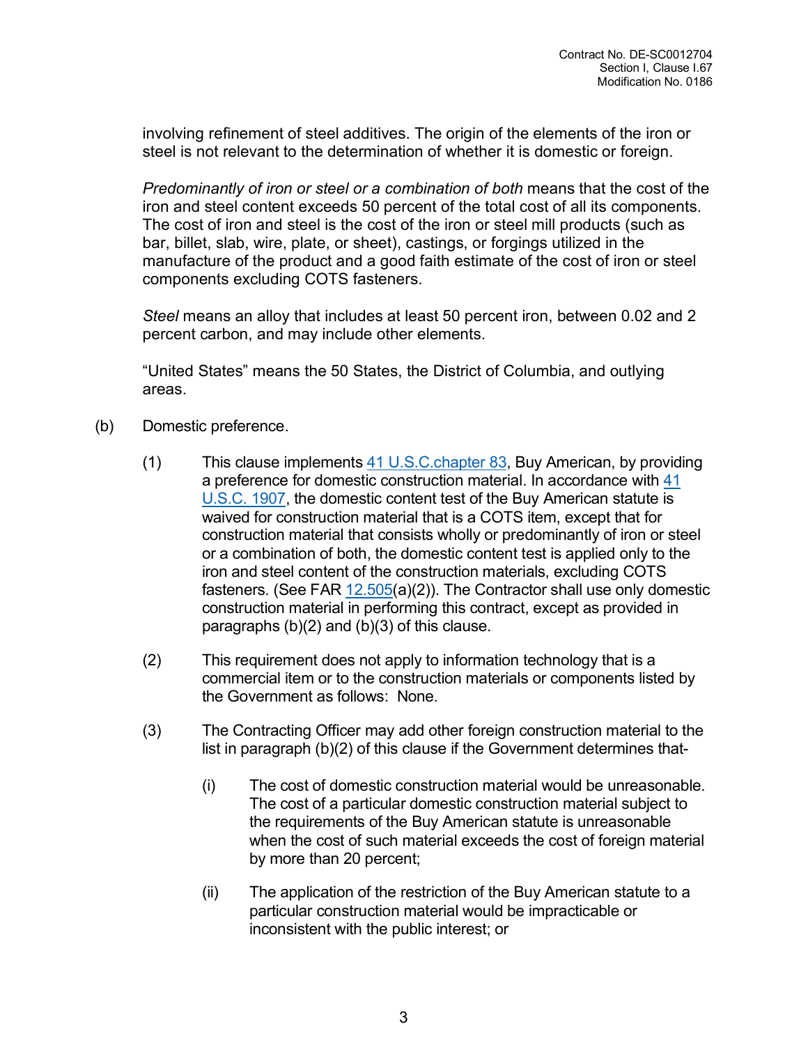involving refinement of steel additives. The origin of the elements of the iron or steel is not relevant to the determination of whether it is domestic or foreign.

*Predominantly of iron or steel or a combination of both* means that the cost of the iron and steel content exceeds 50 percent of the total cost of all its components. The cost of iron and steel is the cost of the iron or steel mill products (such as bar, billet, slab, wire, plate, or sheet), castings, or forgings utilized in the manufacture of the product and a good faith estimate of the cost of iron or steel components excluding COTS fasteners.

*Steel* means an alloy that includes at least 50 percent iron, between 0.02 and 2 percent carbon, and may include other elements.

"United States" means the 50 States, the District of Columbia, and outlying areas.

- (b) Domestic preference.
	- (1) This clause implements  $41 \text{ U.S.C. chapter } 83$ , Buy American, by providing [a preference](http://uscode.house.gov/browse.xhtml;jsessionid=114A3287C7B3359E597506A31FC855B3) for domestic construction material. In accordance with 41 U.S.C. 1907, the domestic content test of the Buy American statute is waived for construction material that is a COTS item, except that for construction material that consists wholly or predominantly of iron or steel or a combination of both, the domestic content test is applied only to the iron and steel conte[nt of the](https://www.acquisition.gov/far/part-12#FAR_12_505) construction materials, excluding COTS fasteners. (See FAR  $12.505(a)(2)$ ). The Contractor shall use only domestic construction material in performing this contract, except as provided in paragraphs (b)(2) and (b)(3) of this clause.
	- (2) This requirement does not apply to information technology that is a commercial item or to the construction materials or components listed by the Government as follows: None.
	- (3) The Contracting Officer may add other foreign construction material to the list in paragraph (b)(2) of this clause if the Government determines that-
		- (i) The cost of domestic construction material would be unreasonable. The cost of a particular domestic construction material subject to the requirements of the Buy American statute is unreasonable when the cost of such material exceeds the cost of foreign material by more than 20 percent;
		- (ii) The application of the restriction of the Buy American statute to a particular construction material would be impracticable or inconsistent with the public interest; or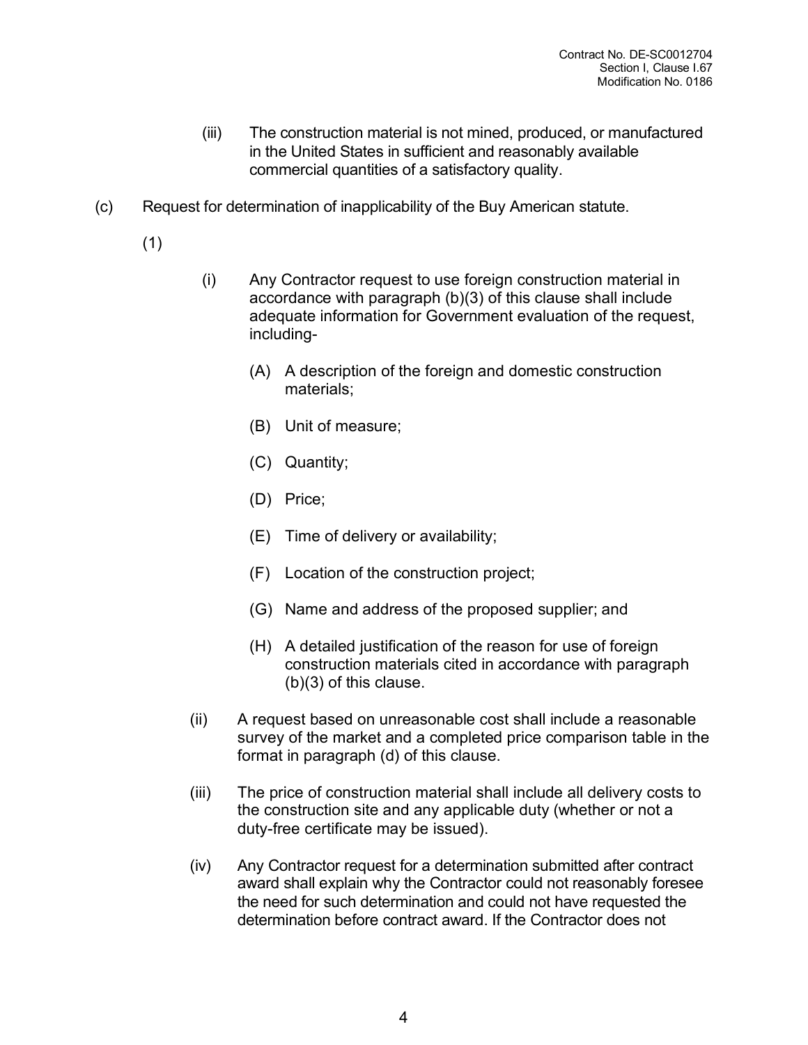- (iii) The construction material is not mined, produced, or manufactured in the United States in sufficient and reasonably available commercial quantities of a satisfactory quality.
- (c) Request for determination of inapplicability of the Buy American statute.
	- (1)
- (i) Any Contractor request to use foreign construction material in accordance with paragraph (b)(3) of this clause shall include adequate information for Government evaluation of the request, including-
	- (A) A description of the foreign and domestic construction materials;
	- (B) Unit of measure;
	- (C) Quantity;
	- (D) Price;
	- (E) Time of delivery or availability;
	- (F) Location of the construction project;
	- (G) Name and address of the proposed supplier; and
	- (H) A detailed justification of the reason for use of foreign construction materials cited in accordance with paragraph (b)(3) of this clause.
- (ii) A request based on unreasonable cost shall include a reasonable survey of the market and a completed price comparison table in the format in paragraph (d) of this clause.
- (iii) The price of construction material shall include all delivery costs to the construction site and any applicable duty (whether or not a duty-free certificate may be issued).
- (iv) Any Contractor request for a determination submitted after contract award shall explain why the Contractor could not reasonably foresee the need for such determination and could not have requested the determination before contract award. If the Contractor does not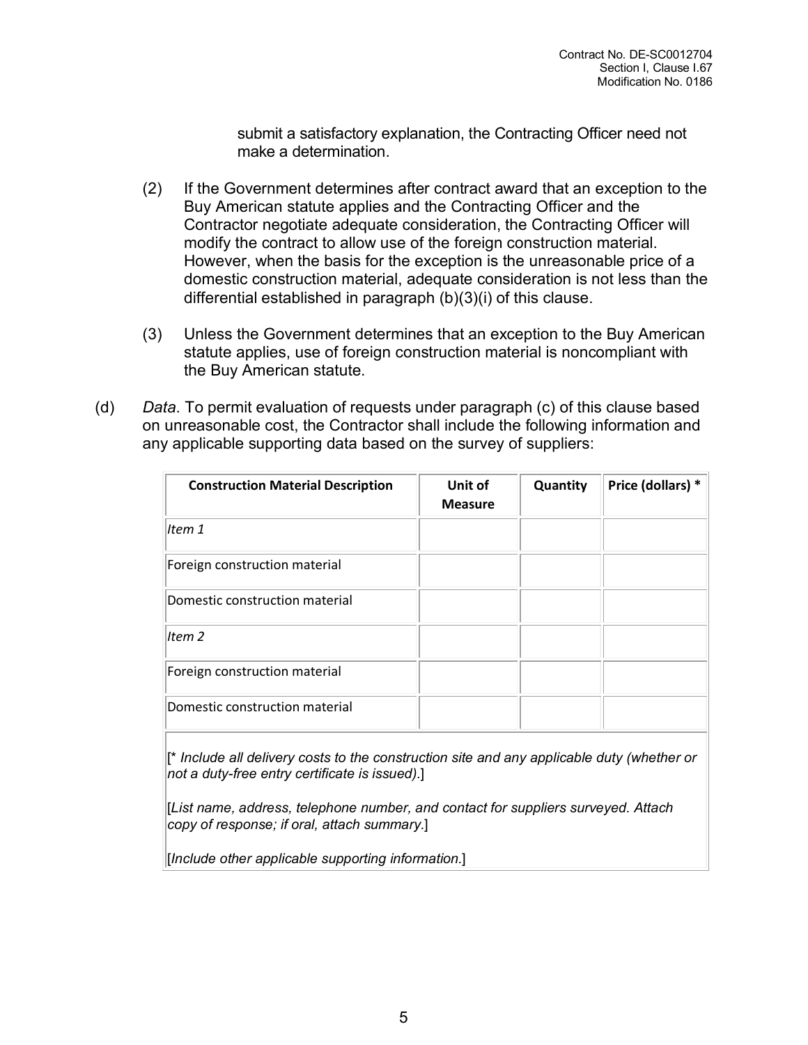submit a satisfactory explanation, the Contracting Officer need not make a determination.

- (2) If the Government determines after contract award that an exception to the Buy American statute applies and the Contracting Officer and the Contractor negotiate adequate consideration, the Contracting Officer will modify the contract to allow use of the foreign construction material. However, when the basis for the exception is the unreasonable price of a domestic construction material, adequate consideration is not less than the differential established in paragraph (b)(3)(i) of this clause.
- (3) Unless the Government determines that an exception to the Buy American statute applies, use of foreign construction material is noncompliant with the Buy American statute.
- (d) *Data*. To permit evaluation of requests under paragraph (c) of this clause based on unreasonable cost, the Contractor shall include the following information and any applicable supporting data based on the survey of suppliers:

| <b>Construction Material Description</b> | Unit of<br><b>Measure</b> | Quantity | Price (dollars) * |
|------------------------------------------|---------------------------|----------|-------------------|
| Item 1                                   |                           |          |                   |
| Foreign construction material            |                           |          |                   |
| Domestic construction material           |                           |          |                   |
| Item <sub>2</sub>                        |                           |          |                   |
| Foreign construction material            |                           |          |                   |
| Domestic construction material           |                           |          |                   |

[\* *Include all delivery costs to the construction site and any applicable duty (whether or not a duty-free entry certificate is issued).*]

[*List name, address, telephone number, and contact for suppliers surveyed. Attach copy of response; if oral, attach summary.*]

[*Include other applicable supporting information.*]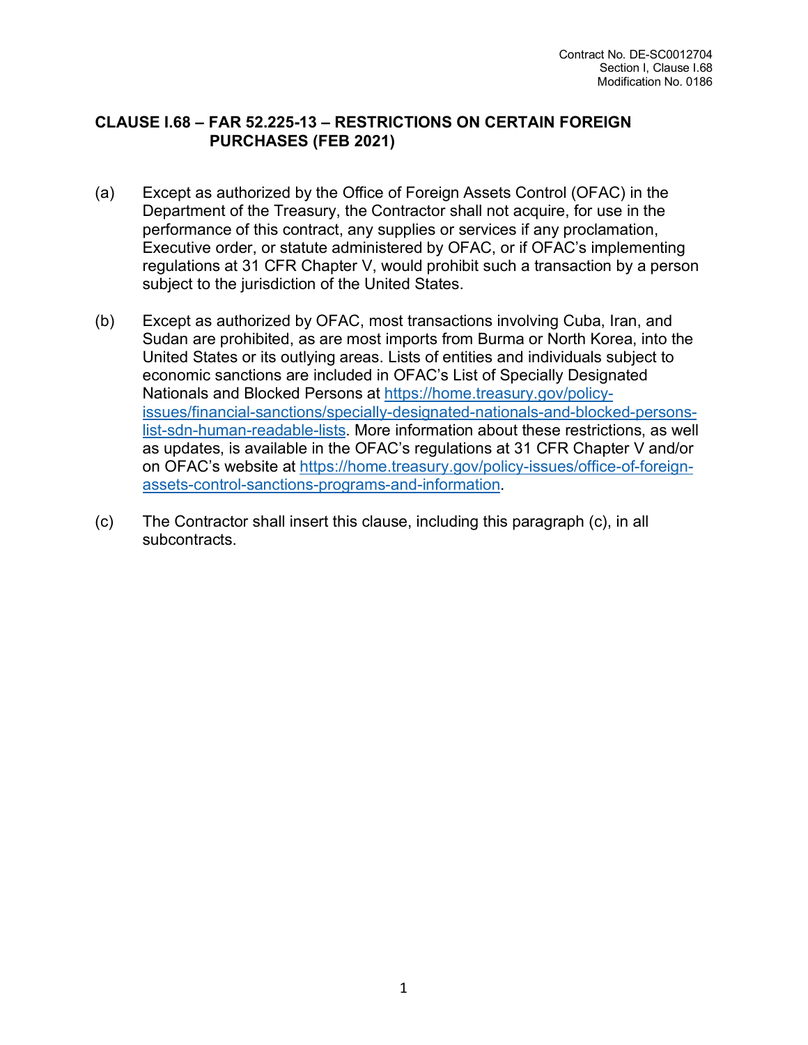### **CLAUSE I.68 – FAR 52.225-13 – RESTRICTIONS ON CERTAIN FOREIGN PURCHASES (FEB 2021)**

- (a) Except as authorized by the Office of Foreign Assets Control (OFAC) in the Department of the Treasury, the Contractor shall not acquire, for use in the performance of this contract, any supplies or services if any proclamation, Executive order, or statute administered by OFAC, or if OFAC's implementing regulations at 31 CFR Chapter V, would prohibit such a transaction by a person subject to the jurisdiction of the United States.
- (b) Except as authorized by OFAC, most transactions involving Cuba, Iran, and Sudan are prohibited, as are most imports from Burma or North Korea, into the United States or its outlying areas. Lists of entities and individuals subject to economic sanctions are included in OFAC's List of Specially Designated Nationals and Blocked Persons at [https://home.treasury.gov/policy](https://home.treasury.gov/%E2%80%8Bpolicy-issues/%E2%80%8Bfinancial-sanctions/%E2%80%8Bspecially-designated-nationals-and-blocked-persons-list-sdn-human-readable-lists)[issues/financial-sanctions/specially-designated-nationals-and-blocked-persons](https://home.treasury.gov/%E2%80%8Bpolicy-issues/%E2%80%8Bfinancial-sanctions/%E2%80%8Bspecially-designated-nationals-and-blocked-persons-list-sdn-human-readable-lists)[list-sdn-human-readable-lists.](https://home.treasury.gov/%E2%80%8Bpolicy-issues/%E2%80%8Bfinancial-sanctions/%E2%80%8Bspecially-designated-nationals-and-blocked-persons-list-sdn-human-readable-lists) More information about these restrictions, as well as updates, is available in the OFAC's regulations at 31 CFR Chapter V and/or on OFAC's website at [https://home.treasury.gov/policy-issues/office-of-foreign](https://home.treasury.gov/%E2%80%8Bpolicy-issues/%E2%80%8Boffice-of-foreign-assets-control-sanctions-programs-and-information)[assets-control-sanctions-programs-and-information.](https://home.treasury.gov/%E2%80%8Bpolicy-issues/%E2%80%8Boffice-of-foreign-assets-control-sanctions-programs-and-information)
- (c) The Contractor shall insert this clause, including this paragraph (c), in all subcontracts.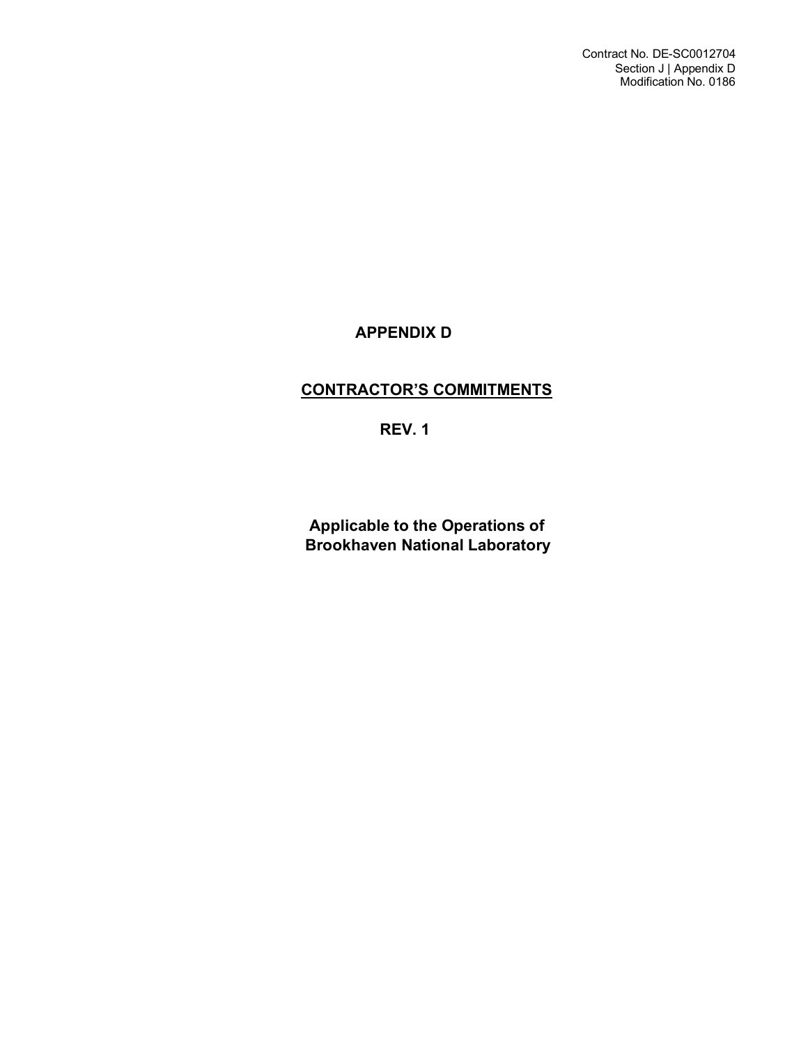# **APPENDIX D**

# **CONTRACTOR'S COMMITMENTS**

**REV. 1**

**Applicable to the Operations of Brookhaven National Laboratory**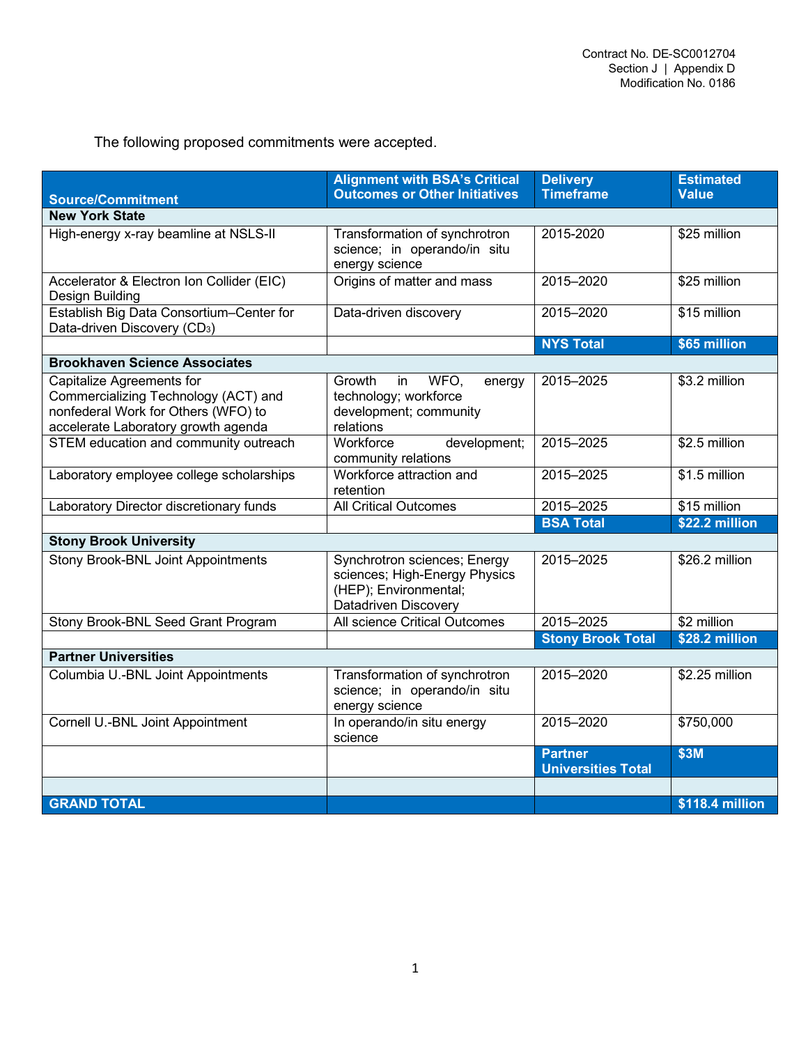The following proposed commitments were accepted.

|                                                                                                                                                 | <b>Alignment with BSA's Critical</b><br><b>Outcomes or Other Initiatives</b>                                   | <b>Delivery</b><br><b>Timeframe</b>         | <b>Estimated</b><br><b>Value</b> |  |
|-------------------------------------------------------------------------------------------------------------------------------------------------|----------------------------------------------------------------------------------------------------------------|---------------------------------------------|----------------------------------|--|
| <b>Source/Commitment</b>                                                                                                                        |                                                                                                                |                                             |                                  |  |
| <b>New York State</b>                                                                                                                           |                                                                                                                |                                             |                                  |  |
| High-energy x-ray beamline at NSLS-II                                                                                                           | Transformation of synchrotron<br>science; in operando/in situ<br>energy science                                | 2015-2020                                   | \$25 million                     |  |
| Accelerator & Electron Ion Collider (EIC)<br>Design Building                                                                                    | Origins of matter and mass                                                                                     | 2015-2020                                   | \$25 million                     |  |
| Establish Big Data Consortium-Center for<br>Data-driven Discovery (CD <sub>3</sub> )                                                            | Data-driven discovery                                                                                          | 2015-2020                                   | \$15 million                     |  |
|                                                                                                                                                 |                                                                                                                | <b>NYS Total</b>                            | \$65 million                     |  |
| <b>Brookhaven Science Associates</b>                                                                                                            |                                                                                                                |                                             |                                  |  |
| Capitalize Agreements for<br>Commercializing Technology (ACT) and<br>nonfederal Work for Others (WFO) to<br>accelerate Laboratory growth agenda | WFO,<br>Growth<br>in<br>energy<br>technology; workforce<br>development; community<br>relations                 | 2015-2025                                   | \$3.2 million                    |  |
| STEM education and community outreach                                                                                                           | Workforce<br>development;<br>community relations                                                               | 2015-2025                                   | \$2.5 million                    |  |
| Laboratory employee college scholarships                                                                                                        | Workforce attraction and<br>retention                                                                          | 2015-2025                                   | \$1.5 million                    |  |
| Laboratory Director discretionary funds                                                                                                         | <b>All Critical Outcomes</b>                                                                                   | 2015-2025                                   | \$15 million                     |  |
|                                                                                                                                                 |                                                                                                                | <b>BSA Total</b>                            | \$22.2 million                   |  |
| <b>Stony Brook University</b>                                                                                                                   |                                                                                                                |                                             |                                  |  |
| <b>Stony Brook-BNL Joint Appointments</b>                                                                                                       | Synchrotron sciences; Energy<br>sciences; High-Energy Physics<br>(HEP); Environmental;<br>Datadriven Discovery | 2015-2025                                   | \$26.2 million                   |  |
| Stony Brook-BNL Seed Grant Program                                                                                                              | All science Critical Outcomes                                                                                  | 2015-2025                                   | \$2 million                      |  |
|                                                                                                                                                 |                                                                                                                | <b>Stony Brook Total</b>                    | \$28.2 million                   |  |
| <b>Partner Universities</b>                                                                                                                     |                                                                                                                |                                             |                                  |  |
| Columbia U.-BNL Joint Appointments                                                                                                              | Transformation of synchrotron<br>science; in operando/in situ<br>energy science                                | 2015-2020                                   | \$2.25 million                   |  |
| Cornell U.-BNL Joint Appointment                                                                                                                | In operando/in situ energy<br>science                                                                          | 2015-2020                                   | \$750,000                        |  |
|                                                                                                                                                 |                                                                                                                | <b>Partner</b><br><b>Universities Total</b> | \$3M                             |  |
|                                                                                                                                                 |                                                                                                                |                                             |                                  |  |
| <b>GRAND TOTAL</b>                                                                                                                              |                                                                                                                |                                             | \$118.4 million                  |  |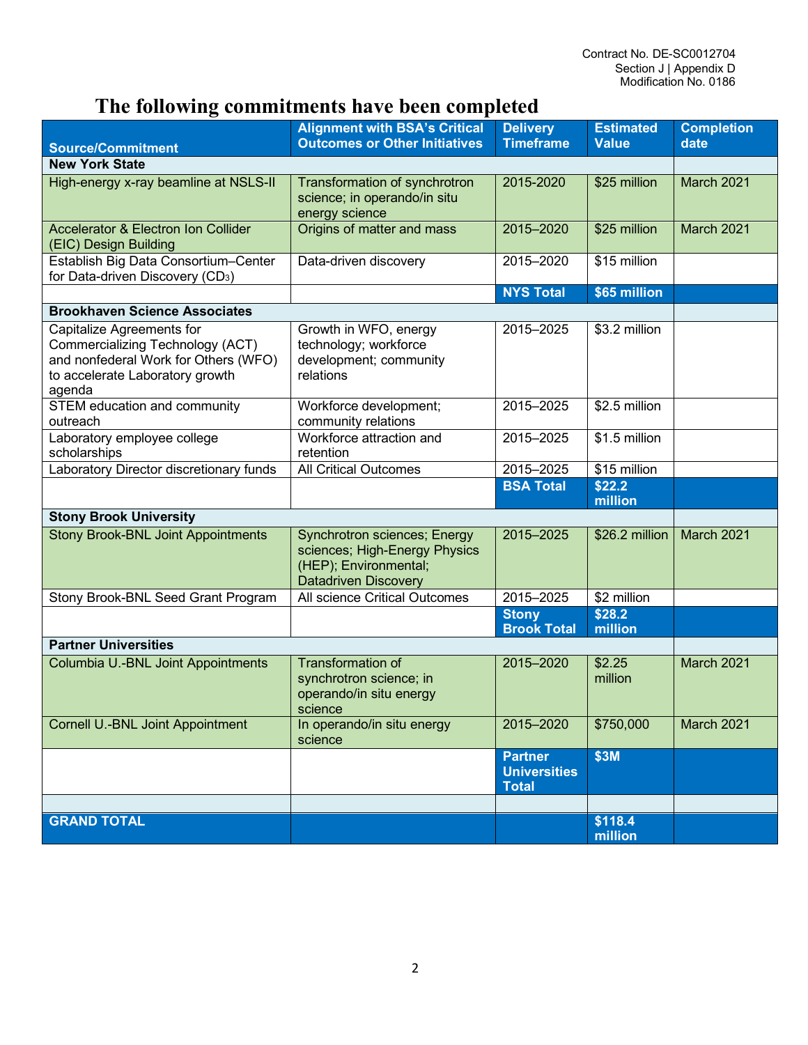# **The following commitments have been completed**

| <b>Source/Commitment</b>                                                                                                                           | <b>Alignment with BSA's Critical</b><br><b>Outcomes or Other Initiatives</b>                                                 | <b>Delivery</b><br><b>Timeframe</b>                   | <b>Estimated</b><br><b>Value</b> | <b>Completion</b><br>date |  |
|----------------------------------------------------------------------------------------------------------------------------------------------------|------------------------------------------------------------------------------------------------------------------------------|-------------------------------------------------------|----------------------------------|---------------------------|--|
| <b>New York State</b>                                                                                                                              |                                                                                                                              |                                                       |                                  |                           |  |
| High-energy x-ray beamline at NSLS-II                                                                                                              | Transformation of synchrotron<br>science; in operando/in situ<br>energy science                                              | 2015-2020                                             | \$25 million                     | March 2021                |  |
| <b>Accelerator &amp; Electron Ion Collider</b><br>(EIC) Design Building                                                                            | Origins of matter and mass                                                                                                   | 2015-2020                                             | \$25 million                     | March 2021                |  |
| Establish Big Data Consortium-Center<br>for Data-driven Discovery (CD <sub>3</sub> )                                                               | Data-driven discovery                                                                                                        | 2015-2020                                             | \$15 million                     |                           |  |
|                                                                                                                                                    |                                                                                                                              | <b>NYS Total</b>                                      | \$65 million                     |                           |  |
| <b>Brookhaven Science Associates</b>                                                                                                               |                                                                                                                              |                                                       |                                  |                           |  |
| Capitalize Agreements for<br>Commercializing Technology (ACT)<br>and nonfederal Work for Others (WFO)<br>to accelerate Laboratory growth<br>agenda | Growth in WFO, energy<br>technology; workforce<br>development; community<br>relations                                        | 2015-2025                                             | \$3.2 million                    |                           |  |
| STEM education and community<br>outreach                                                                                                           | Workforce development;<br>community relations                                                                                | 2015-2025                                             | \$2.5 million                    |                           |  |
| Laboratory employee college<br>scholarships                                                                                                        | Workforce attraction and<br>retention                                                                                        | 2015-2025                                             | $$1.5$ million                   |                           |  |
| Laboratory Director discretionary funds                                                                                                            | <b>All Critical Outcomes</b>                                                                                                 | 2015-2025                                             | \$15 million                     |                           |  |
|                                                                                                                                                    |                                                                                                                              | <b>BSA Total</b>                                      | \$22.2                           |                           |  |
|                                                                                                                                                    |                                                                                                                              |                                                       | million                          |                           |  |
| <b>Stony Brook University</b><br><b>Stony Brook-BNL Joint Appointments</b>                                                                         |                                                                                                                              | 2015-2025                                             | \$26.2 million                   | March 2021                |  |
|                                                                                                                                                    | <b>Synchrotron sciences; Energy</b><br>sciences; High-Energy Physics<br>(HEP); Environmental;<br><b>Datadriven Discovery</b> |                                                       |                                  |                           |  |
| Stony Brook-BNL Seed Grant Program                                                                                                                 | All science Critical Outcomes                                                                                                | 2015-2025                                             | \$2 million                      |                           |  |
|                                                                                                                                                    |                                                                                                                              | <b>Stony</b><br><b>Brook Total</b>                    | \$28.2<br>million                |                           |  |
| <b>Partner Universities</b>                                                                                                                        |                                                                                                                              |                                                       |                                  |                           |  |
| <b>Columbia U.-BNL Joint Appointments</b>                                                                                                          | Transformation of<br>synchrotron science; in<br>operando/in situ energy<br>science                                           | 2015-2020                                             | \$2.25<br>million                | March 2021                |  |
| Cornell U.-BNL Joint Appointment                                                                                                                   | In operando/in situ energy<br>science                                                                                        | 2015-2020                                             | \$750,000                        | March 2021                |  |
|                                                                                                                                                    |                                                                                                                              | <b>Partner</b><br><b>Universities</b><br><b>Total</b> | \$3M                             |                           |  |
|                                                                                                                                                    |                                                                                                                              |                                                       |                                  |                           |  |
| <b>GRAND TOTAL</b>                                                                                                                                 |                                                                                                                              |                                                       | \$118.4<br>million               |                           |  |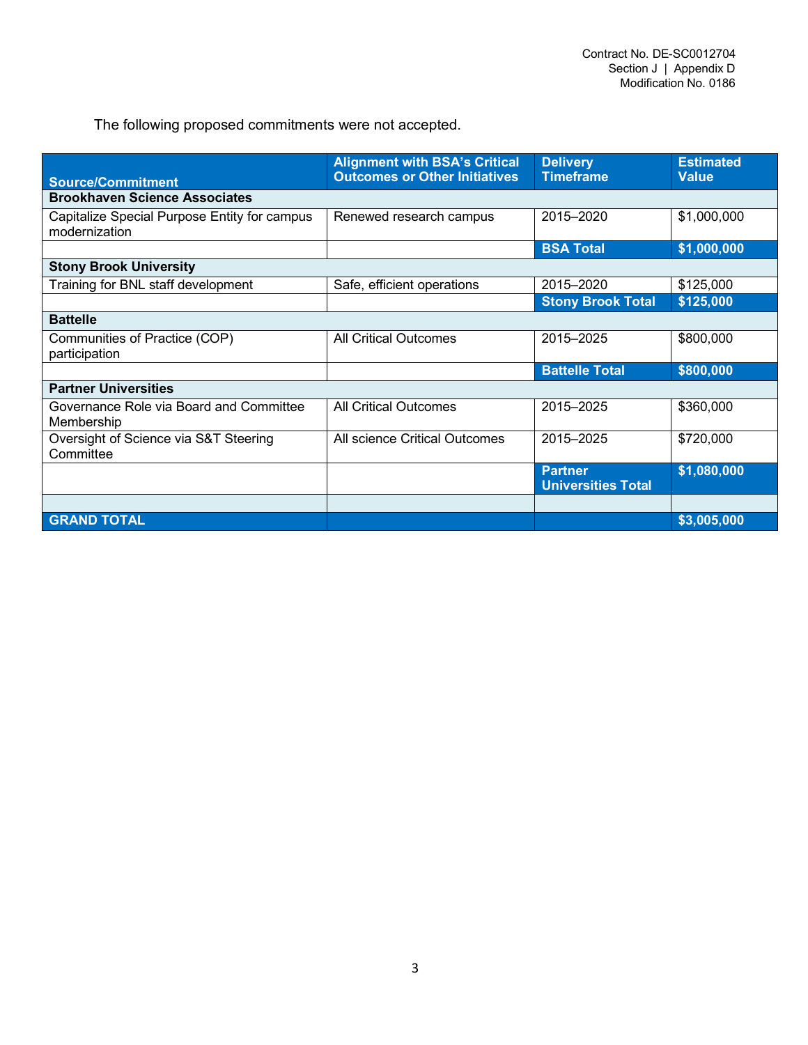The following proposed commitments were not accepted.

|                                                               | <b>Alignment with BSA's Critical</b> | <b>Delivery</b>                             | <b>Estimated</b> |  |
|---------------------------------------------------------------|--------------------------------------|---------------------------------------------|------------------|--|
| <b>Source/Commitment</b>                                      | <b>Outcomes or Other Initiatives</b> | <b>Timeframe</b>                            | <b>Value</b>     |  |
| <b>Brookhaven Science Associates</b>                          |                                      |                                             |                  |  |
| Capitalize Special Purpose Entity for campus<br>modernization | Renewed research campus              | 2015-2020                                   | \$1,000,000      |  |
|                                                               |                                      | <b>BSA Total</b>                            | \$1,000,000      |  |
| <b>Stony Brook University</b>                                 |                                      |                                             |                  |  |
| Training for BNL staff development                            | Safe, efficient operations           | 2015-2020                                   | \$125,000        |  |
|                                                               |                                      | <b>Stony Brook Total</b>                    | \$125,000        |  |
| <b>Battelle</b>                                               |                                      |                                             |                  |  |
| Communities of Practice (COP)<br>participation                | <b>All Critical Outcomes</b>         | 2015-2025                                   | \$800,000        |  |
|                                                               |                                      | <b>Battelle Total</b>                       | \$800,000        |  |
| <b>Partner Universities</b>                                   |                                      |                                             |                  |  |
| Governance Role via Board and Committee<br>Membership         | <b>All Critical Outcomes</b>         | 2015-2025                                   | \$360,000        |  |
| Oversight of Science via S&T Steering<br>Committee            | All science Critical Outcomes        | 2015-2025                                   | \$720,000        |  |
|                                                               |                                      | <b>Partner</b><br><b>Universities Total</b> | \$1,080,000      |  |
|                                                               |                                      |                                             |                  |  |
| <b>GRAND TOTAL</b>                                            |                                      |                                             | \$3,005,000      |  |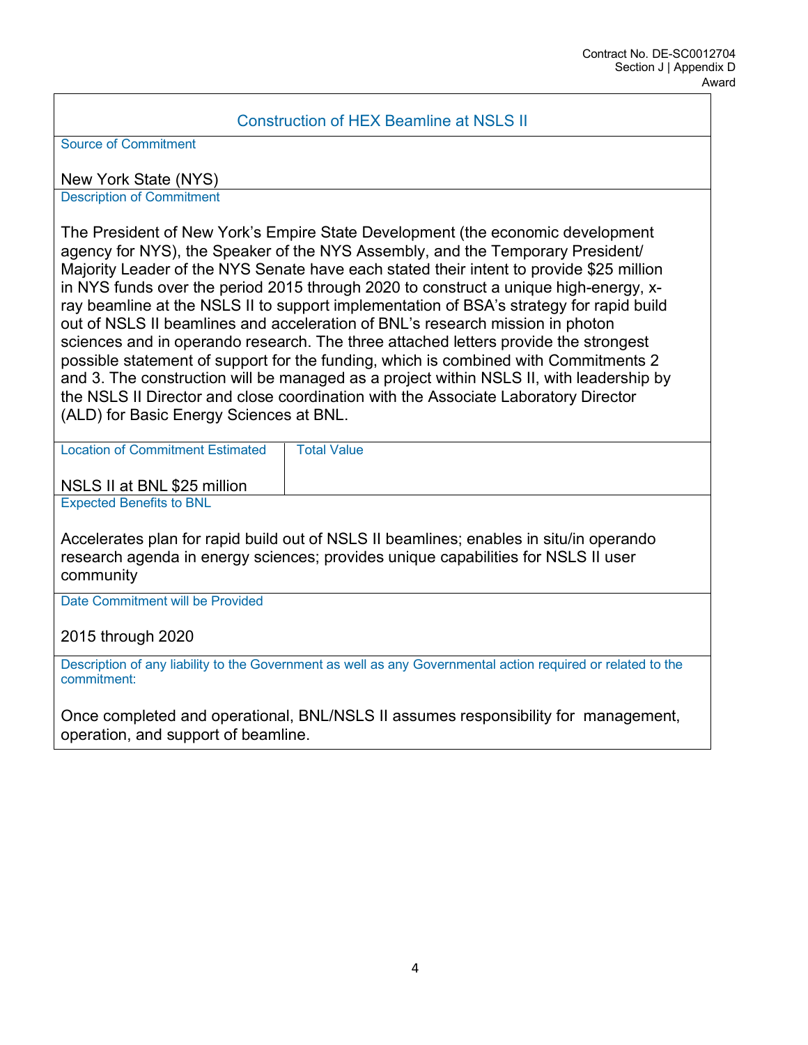### Construction of HEX Beamline at NSLS II

Source of Commitment

New York State (NYS)

Description of Commitment

The President of New York's Empire State Development (the economic development agency for NYS), the Speaker of the NYS Assembly, and the Temporary President/ Majority Leader of the NYS Senate have each stated their intent to provide \$25 million in NYS funds over the period 2015 through 2020 to construct a unique high-energy, xray beamline at the NSLS II to support implementation of BSA's strategy for rapid build out of NSLS II beamlines and acceleration of BNL's research mission in photon sciences and in operando research. The three attached letters provide the strongest possible statement of support for the funding, which is combined with Commitments 2 and 3. The construction will be managed as a project within NSLS II, with leadership by the NSLS II Director and close coordination with the Associate Laboratory Director (ALD) for Basic Energy Sciences at BNL.

Location of Commitment Estimated | Total Value

NSLS II at BNL \$25 million

Expected Benefits to BNL

Accelerates plan for rapid build out of NSLS II beamlines; enables in situ/in operando research agenda in energy sciences; provides unique capabilities for NSLS II user community

Date Commitment will be Provided

2015 through 2020

Description of any liability to the Government as well as any Governmental action required or related to the commitment:

Once completed and operational, BNL/NSLS II assumes responsibility for management, operation, and support of beamline.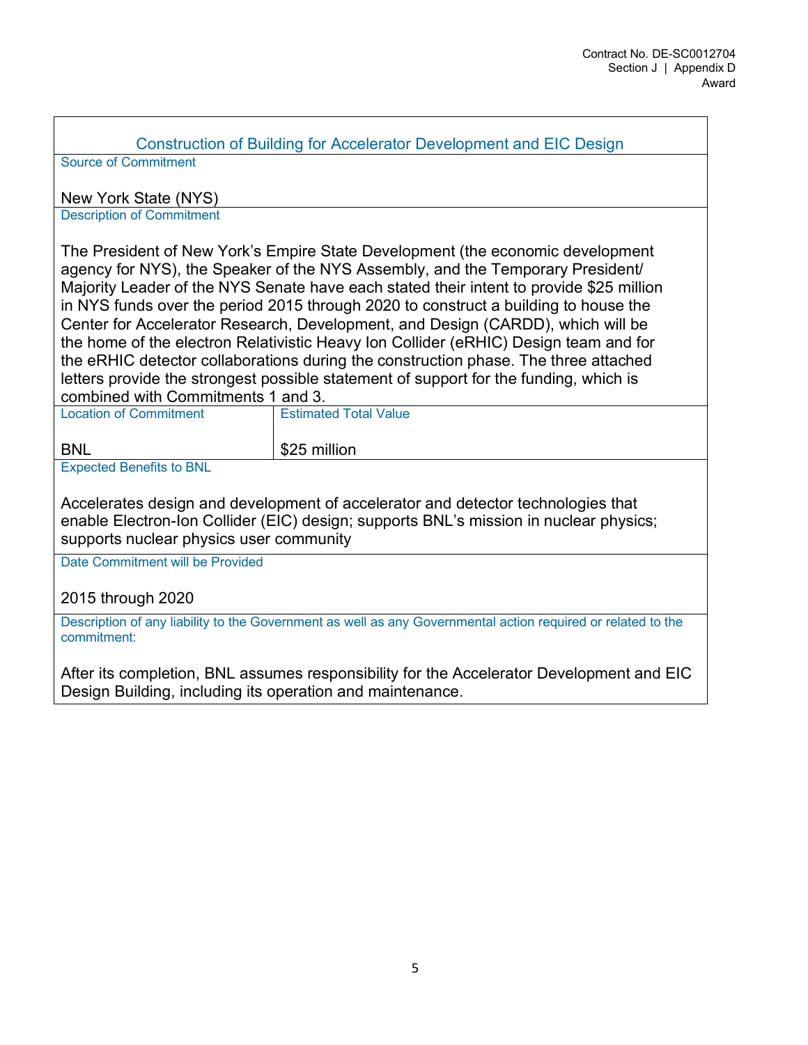Construction of Building for Accelerator Development and EIC Design

Source of Commitment

New York State (NYS)

Description of Commitment

The President of New York's Empire State Development (the economic development agency for NYS), the Speaker of the NYS Assembly, and the Temporary President/ Majority Leader of the NYS Senate have each stated their intent to provide \$25 million in NYS funds over the period 2015 through 2020 to construct a building to house the Center for Accelerator Research, Development, and Design (CARDD), which will be the home of the electron Relativistic Heavy Ion Collider (eRHIC) Design team and for the eRHIC detector collaborations during the construction phase. The three attached letters provide the strongest possible statement of support for the funding, which is combined with Commitments 1 and 3.

| <b>Location of Commitment</b> | <b>Estimated Total Value</b> |  |
|-------------------------------|------------------------------|--|
| <b>BNL</b>                    | \$25 million                 |  |
| $\sim$ $\sim$<br>.            |                              |  |

Expected Benefits to BNL

Accelerates design and development of accelerator and detector technologies that enable Electron-Ion Collider (EIC) design; supports BNL's mission in nuclear physics; supports nuclear physics user community

Date Commitment will be Provided

2015 through 2020

Description of any liability to the Government as well as any Governmental action required or related to the commitment:

After its completion, BNL assumes responsibility for the Accelerator Development and EIC Design Building, including its operation and maintenance.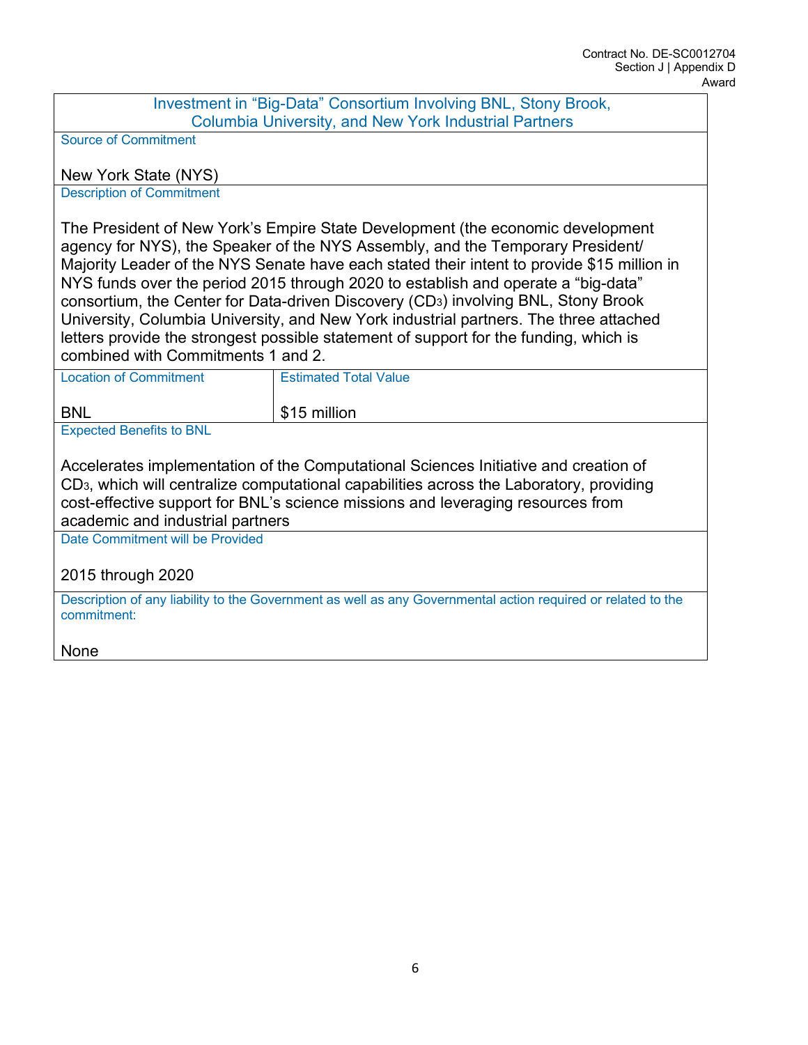Investment in "Big-Data" Consortium Involving BNL, Stony Brook, Columbia University, and New York Industrial Partners

Source of Commitment

New York State (NYS)

Description of Commitment

The President of New York's Empire State Development (the economic development agency for NYS), the Speaker of the NYS Assembly, and the Temporary President/ Majority Leader of the NYS Senate have each stated their intent to provide \$15 million in NYS funds over the period 2015 through 2020 to establish and operate a "big-data" consortium, the Center for Data-driven Discovery (CD3) involving BNL, Stony Brook University, Columbia University, and New York industrial partners. The three attached letters provide the strongest possible statement of support for the funding, which is combined with Commitments 1 and 2.

| <b>Location of Commitment</b>   | <b>Estimated Total Value</b> |
|---------------------------------|------------------------------|
| <b>BNL</b>                      | \$15 million                 |
| <b>Expected Benefits to BNL</b> |                              |

Accelerates implementation of the Computational Sciences Initiative and creation of CD3, which will centralize computational capabilities across the Laboratory, providing cost-effective support for BNL's science missions and leveraging resources from academic and industrial partners

Date Commitment will be Provided

2015 through 2020

Description of any liability to the Government as well as any Governmental action required or related to the commitment:

None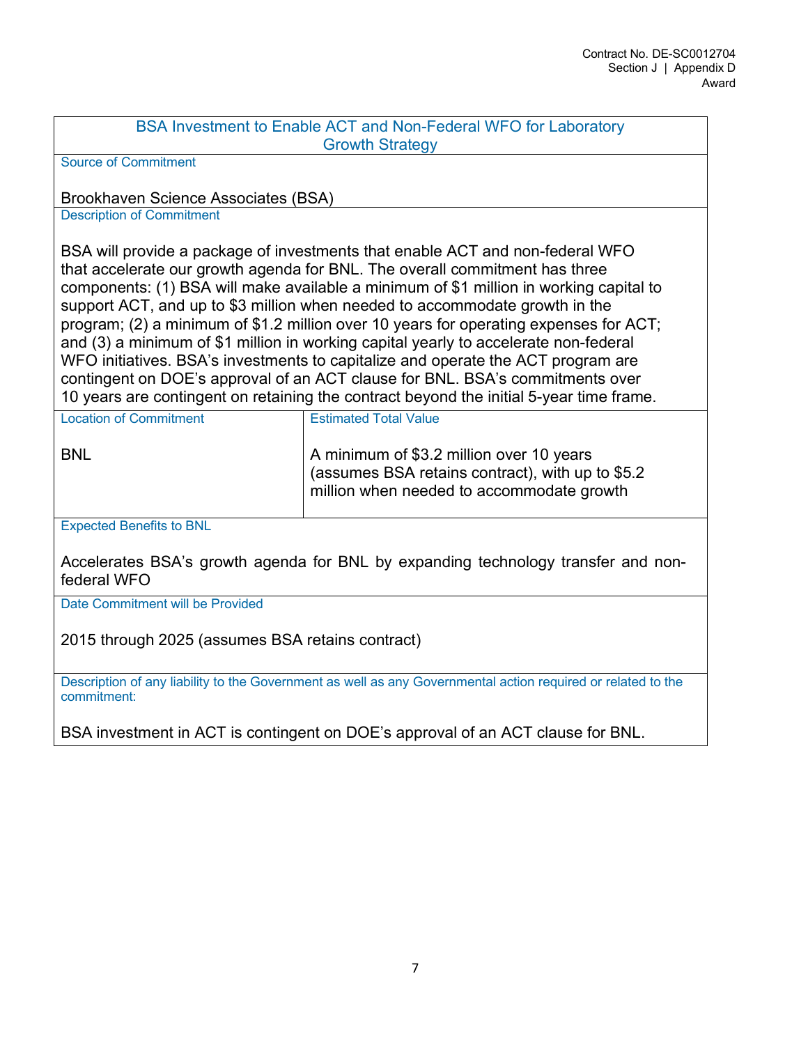| BSA Investment to Enable ACT and Non-Federal WFO for Laboratory |
|-----------------------------------------------------------------|
| <b>Growth Strategy</b>                                          |
|                                                                 |

Source of Commitment

Brookhaven Science Associates (BSA)

Description of Commitment

BSA will provide a package of investments that enable ACT and non-federal WFO that accelerate our growth agenda for BNL. The overall commitment has three components: (1) BSA will make available a minimum of \$1 million in working capital to support ACT, and up to \$3 million when needed to accommodate growth in the program; (2) a minimum of \$1.2 million over 10 years for operating expenses for ACT; and (3) a minimum of \$1 million in working capital yearly to accelerate non-federal WFO initiatives. BSA's investments to capitalize and operate the ACT program are contingent on DOE's approval of an ACT clause for BNL. BSA's commitments over 10 years are contingent on retaining the contract beyond the initial 5-year time frame.

| <b>Location of Commitment</b> | <b>Estimated Total Value</b>                                                                                                              |
|-------------------------------|-------------------------------------------------------------------------------------------------------------------------------------------|
| <b>BNL</b>                    | A minimum of \$3.2 million over 10 years<br>(assumes BSA retains contract), with up to \$5.2<br>million when needed to accommodate growth |

Expected Benefits to BNL

Accelerates BSA's growth agenda for BNL by expanding technology transfer and nonfederal WFO

Date Commitment will be Provided

2015 through 2025 (assumes BSA retains contract)

Description of any liability to the Government as well as any Governmental action required or related to the commitment:

BSA investment in ACT is contingent on DOE's approval of an ACT clause for BNL.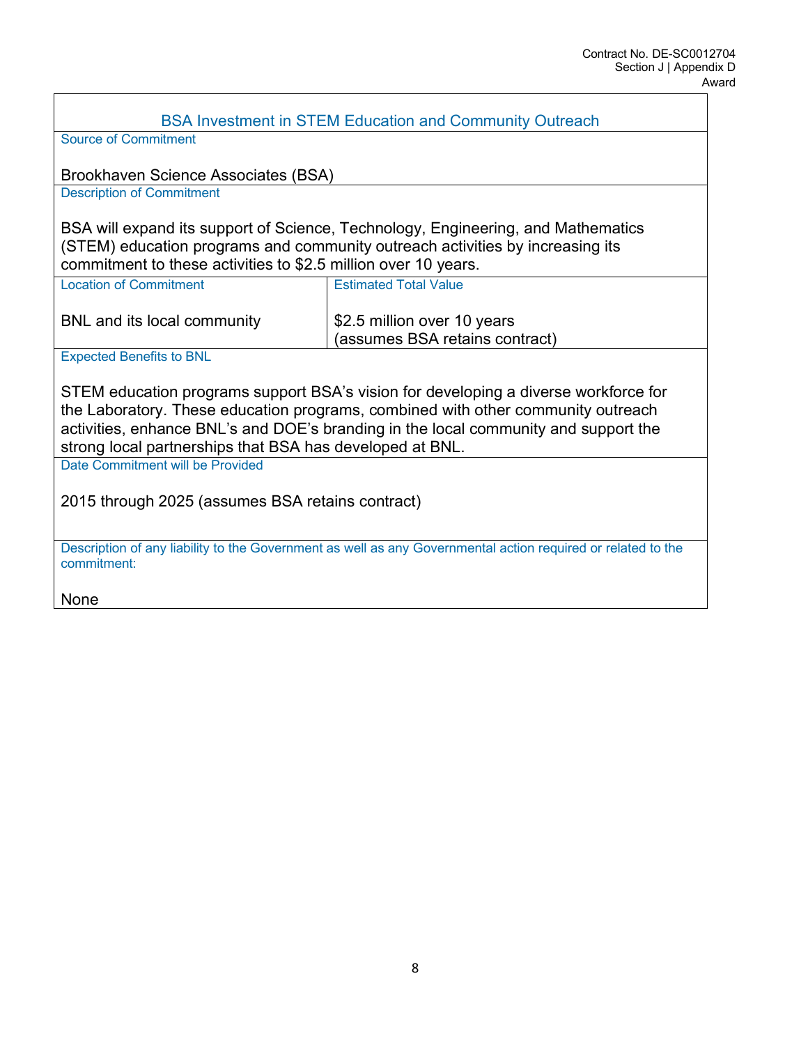| <b>BSA Investment in STEM Education and Community Outreach</b>                                                                                                                                                                                                                                                             |                                                               |  |  |
|----------------------------------------------------------------------------------------------------------------------------------------------------------------------------------------------------------------------------------------------------------------------------------------------------------------------------|---------------------------------------------------------------|--|--|
| <b>Source of Commitment</b>                                                                                                                                                                                                                                                                                                |                                                               |  |  |
| Brookhaven Science Associates (BSA)<br><b>Description of Commitment</b>                                                                                                                                                                                                                                                    |                                                               |  |  |
|                                                                                                                                                                                                                                                                                                                            |                                                               |  |  |
| BSA will expand its support of Science, Technology, Engineering, and Mathematics<br>(STEM) education programs and community outreach activities by increasing its<br>commitment to these activities to \$2.5 million over 10 years.                                                                                        |                                                               |  |  |
| <b>Location of Commitment</b>                                                                                                                                                                                                                                                                                              | <b>Estimated Total Value</b>                                  |  |  |
| BNL and its local community                                                                                                                                                                                                                                                                                                | \$2.5 million over 10 years<br>(assumes BSA retains contract) |  |  |
| <b>Expected Benefits to BNL</b>                                                                                                                                                                                                                                                                                            |                                                               |  |  |
| STEM education programs support BSA's vision for developing a diverse workforce for<br>the Laboratory. These education programs, combined with other community outreach<br>activities, enhance BNL's and DOE's branding in the local community and support the<br>strong local partnerships that BSA has developed at BNL. |                                                               |  |  |
| Date Commitment will be Provided                                                                                                                                                                                                                                                                                           |                                                               |  |  |
| 2015 through 2025 (assumes BSA retains contract)                                                                                                                                                                                                                                                                           |                                                               |  |  |
| Description of any liability to the Government as well as any Governmental action required or related to the<br>commitment:                                                                                                                                                                                                |                                                               |  |  |
| None                                                                                                                                                                                                                                                                                                                       |                                                               |  |  |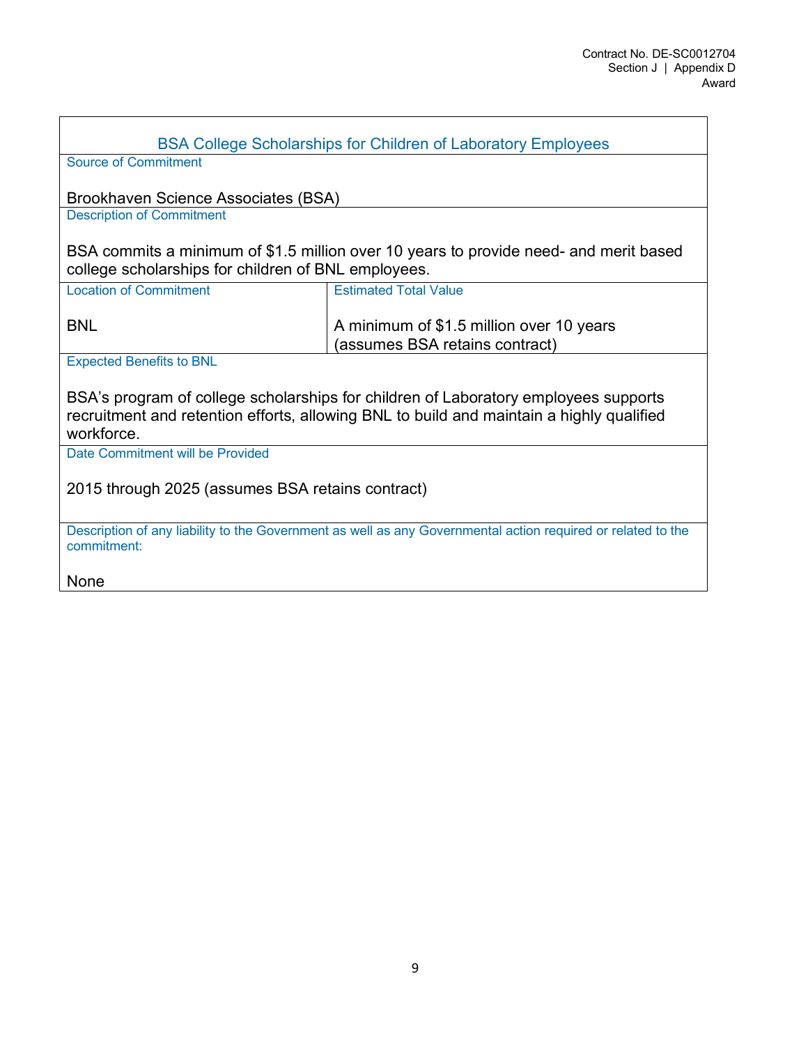| <b>BSA College Scholarships for Children of Laboratory Employees</b>                                                                                                                          |                                                                            |  |  |
|-----------------------------------------------------------------------------------------------------------------------------------------------------------------------------------------------|----------------------------------------------------------------------------|--|--|
| <b>Source of Commitment</b>                                                                                                                                                                   |                                                                            |  |  |
| Brookhaven Science Associates (BSA)                                                                                                                                                           |                                                                            |  |  |
| <b>Description of Commitment</b>                                                                                                                                                              |                                                                            |  |  |
| BSA commits a minimum of \$1.5 million over 10 years to provide need- and merit based<br>college scholarships for children of BNL employees.                                                  |                                                                            |  |  |
| <b>Location of Commitment</b>                                                                                                                                                                 | <b>Estimated Total Value</b>                                               |  |  |
| <b>BNL</b>                                                                                                                                                                                    | A minimum of \$1.5 million over 10 years<br>(assumes BSA retains contract) |  |  |
| <b>Expected Benefits to BNL</b>                                                                                                                                                               |                                                                            |  |  |
| BSA's program of college scholarships for children of Laboratory employees supports<br>recruitment and retention efforts, allowing BNL to build and maintain a highly qualified<br>workforce. |                                                                            |  |  |
| Date Commitment will be Provided                                                                                                                                                              |                                                                            |  |  |
| 2015 through 2025 (assumes BSA retains contract)                                                                                                                                              |                                                                            |  |  |
| Description of any liability to the Government as well as any Governmental action required or related to the<br>commitment:                                                                   |                                                                            |  |  |
| <b>None</b>                                                                                                                                                                                   |                                                                            |  |  |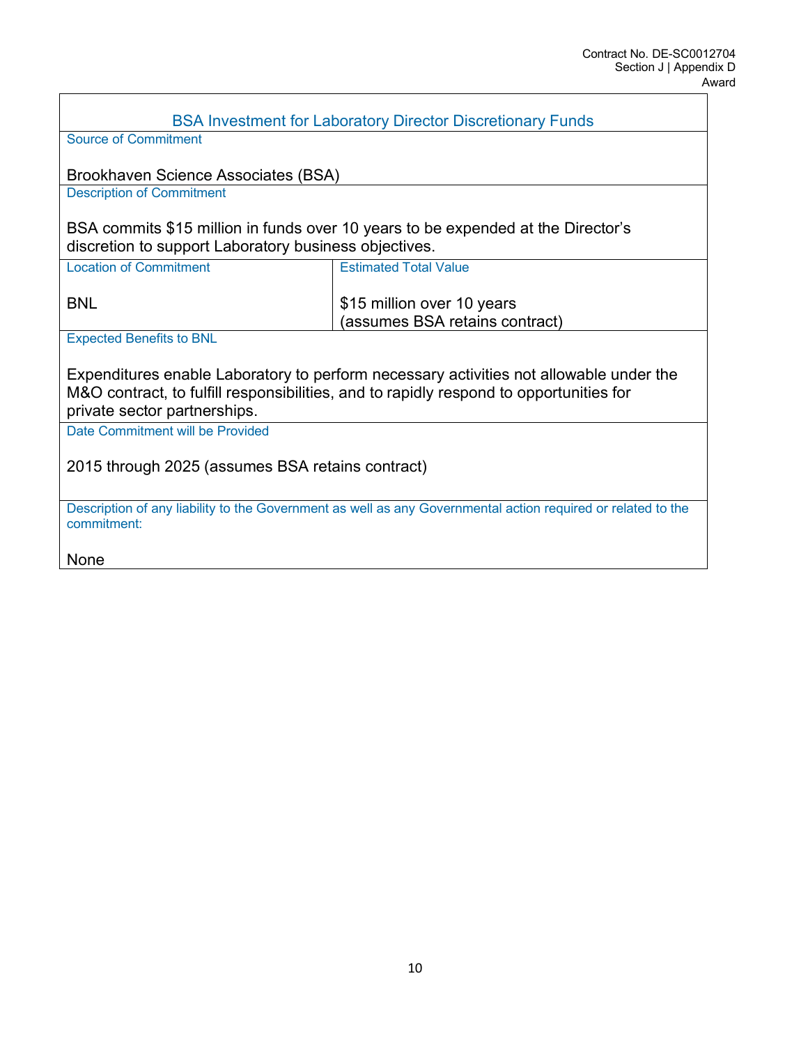| <b>BSA Investment for Laboratory Director Discretionary Funds</b>                                                           |                                                                                  |  |  |
|-----------------------------------------------------------------------------------------------------------------------------|----------------------------------------------------------------------------------|--|--|
| <b>Source of Commitment</b>                                                                                                 |                                                                                  |  |  |
|                                                                                                                             |                                                                                  |  |  |
| Brookhaven Science Associates (BSA)                                                                                         |                                                                                  |  |  |
| <b>Description of Commitment</b>                                                                                            |                                                                                  |  |  |
|                                                                                                                             | BSA commits \$15 million in funds over 10 years to be expended at the Director's |  |  |
| discretion to support Laboratory business objectives.                                                                       |                                                                                  |  |  |
| <b>Location of Commitment</b>                                                                                               | <b>Estimated Total Value</b>                                                     |  |  |
|                                                                                                                             |                                                                                  |  |  |
| <b>BNL</b>                                                                                                                  | \$15 million over 10 years                                                       |  |  |
|                                                                                                                             | (assumes BSA retains contract)                                                   |  |  |
| <b>Expected Benefits to BNL</b>                                                                                             |                                                                                  |  |  |
| Expenditures enable Laboratory to perform necessary activities not allowable under the                                      |                                                                                  |  |  |
| M&O contract, to fulfill responsibilities, and to rapidly respond to opportunities for<br>private sector partnerships.      |                                                                                  |  |  |
| Date Commitment will be Provided                                                                                            |                                                                                  |  |  |
|                                                                                                                             |                                                                                  |  |  |
| 2015 through 2025 (assumes BSA retains contract)                                                                            |                                                                                  |  |  |
|                                                                                                                             |                                                                                  |  |  |
| Description of any liability to the Government as well as any Governmental action required or related to the<br>commitment: |                                                                                  |  |  |
| <b>None</b>                                                                                                                 |                                                                                  |  |  |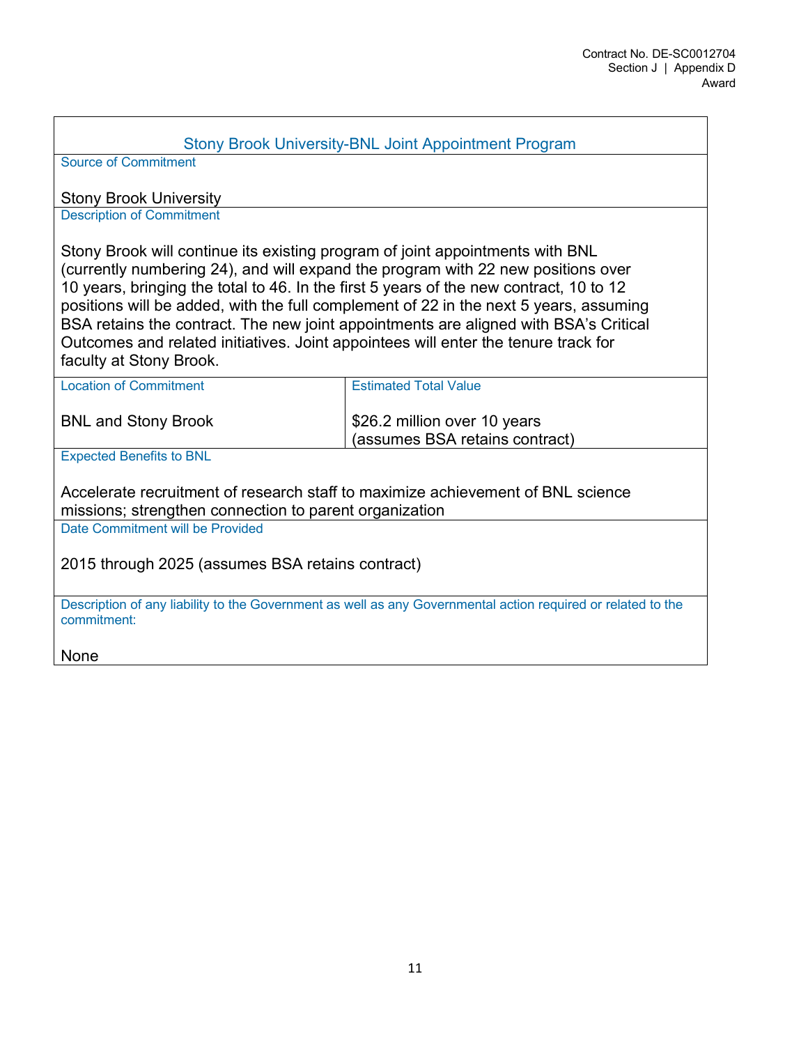### Stony Brook University-BNL Joint Appointment Program

Source of Commitment

Stony Brook University

Description of Commitment

Stony Brook will continue its existing program of joint appointments with BNL (currently numbering 24), and will expand the program with 22 new positions over 10 years, bringing the total to 46. In the first 5 years of the new contract, 10 to 12 positions will be added, with the full complement of 22 in the next 5 years, assuming BSA retains the contract. The new joint appointments are aligned with BSA's Critical Outcomes and related initiatives. Joint appointees will enter the tenure track for faculty at Stony Brook.

| <b>Location of Commitment</b>                                                   | <b>Estimated Total Value</b>                                   |
|---------------------------------------------------------------------------------|----------------------------------------------------------------|
| <b>BNL and Stony Brook</b>                                                      | \$26.2 million over 10 years<br>(assumes BSA retains contract) |
| $F_{\text{max}}$ and $F_{\text{max}}$ and $F_{\text{max}}$ and $F_{\text{max}}$ |                                                                |

Expected Benefits to BNL

Accelerate recruitment of research staff to maximize achievement of BNL science missions; strengthen connection to parent organization

Date Commitment will be Provided

2015 through 2025 (assumes BSA retains contract)

Description of any liability to the Government as well as any Governmental action required or related to the commitment:

None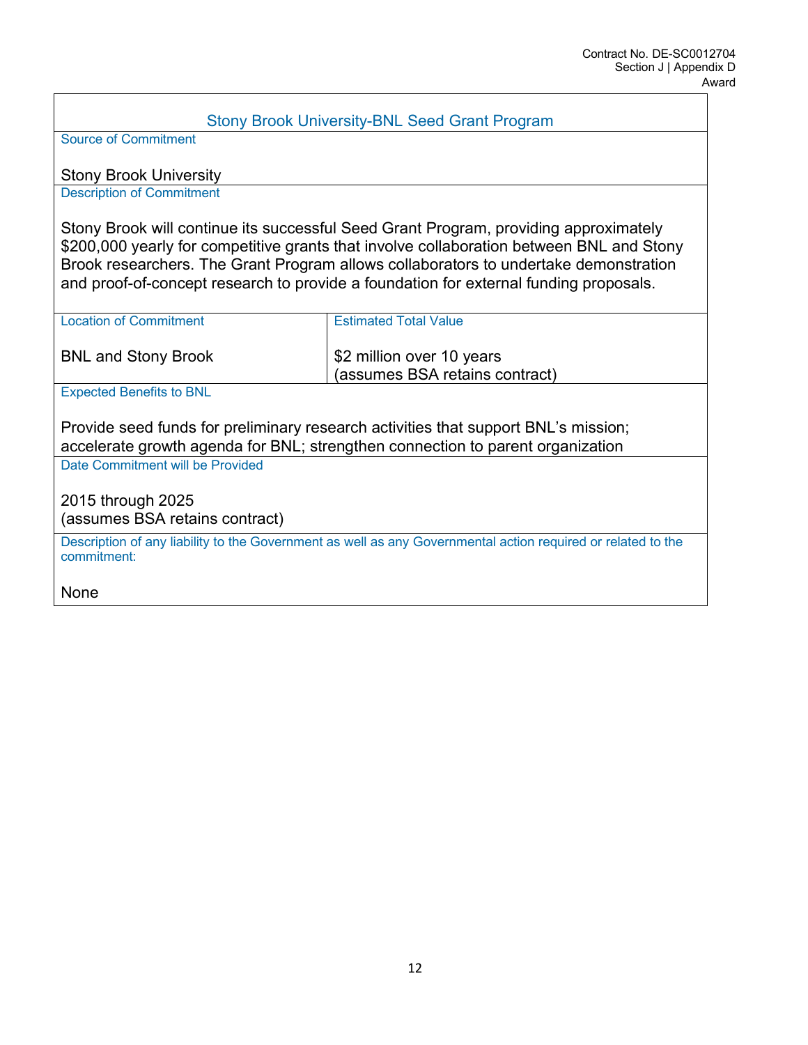| <b>Stony Brook University-BNL Seed Grant Program</b>                                                                                                                                                                                                                                                                                                              |                                                            |  |  |
|-------------------------------------------------------------------------------------------------------------------------------------------------------------------------------------------------------------------------------------------------------------------------------------------------------------------------------------------------------------------|------------------------------------------------------------|--|--|
| <b>Source of Commitment</b>                                                                                                                                                                                                                                                                                                                                       |                                                            |  |  |
|                                                                                                                                                                                                                                                                                                                                                                   |                                                            |  |  |
| <b>Stony Brook University</b>                                                                                                                                                                                                                                                                                                                                     |                                                            |  |  |
| <b>Description of Commitment</b>                                                                                                                                                                                                                                                                                                                                  |                                                            |  |  |
| Stony Brook will continue its successful Seed Grant Program, providing approximately<br>\$200,000 yearly for competitive grants that involve collaboration between BNL and Stony<br>Brook researchers. The Grant Program allows collaborators to undertake demonstration<br>and proof-of-concept research to provide a foundation for external funding proposals. |                                                            |  |  |
| <b>Location of Commitment</b>                                                                                                                                                                                                                                                                                                                                     | <b>Estimated Total Value</b>                               |  |  |
| <b>BNL and Stony Brook</b>                                                                                                                                                                                                                                                                                                                                        | \$2 million over 10 years<br>assumes BSA retains contract) |  |  |
| <b>Expected Benefits to BNL</b>                                                                                                                                                                                                                                                                                                                                   |                                                            |  |  |
| Provide seed funds for preliminary research activities that support BNL's mission;<br>accelerate growth agenda for BNL; strengthen connection to parent organization                                                                                                                                                                                              |                                                            |  |  |
| Date Commitment will be Provided                                                                                                                                                                                                                                                                                                                                  |                                                            |  |  |
| 2015 through 2025<br>(assumes BSA retains contract)                                                                                                                                                                                                                                                                                                               |                                                            |  |  |
| Description of any liability to the Government as well as any Governmental action required or related to the<br>commitment:                                                                                                                                                                                                                                       |                                                            |  |  |
| None                                                                                                                                                                                                                                                                                                                                                              |                                                            |  |  |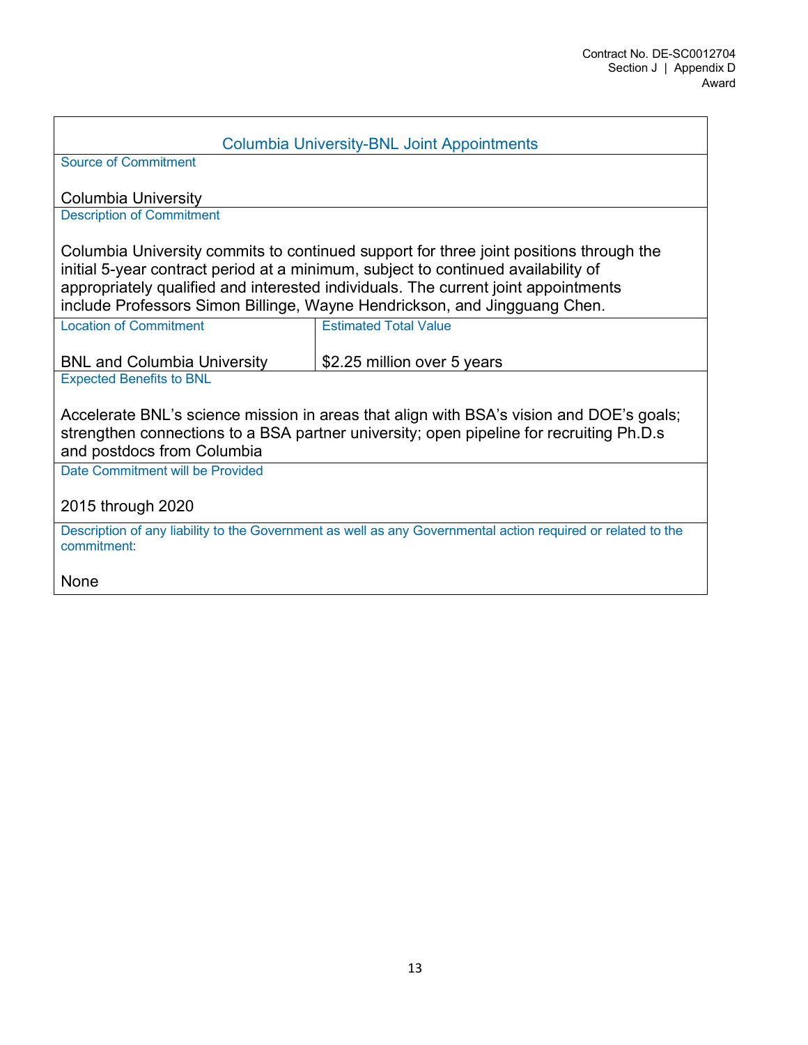| <b>Columbia University-BNL Joint Appointments</b>                                                                                                                                                                                                                                                                                              |                              |  |  |
|------------------------------------------------------------------------------------------------------------------------------------------------------------------------------------------------------------------------------------------------------------------------------------------------------------------------------------------------|------------------------------|--|--|
| <b>Source of Commitment</b>                                                                                                                                                                                                                                                                                                                    |                              |  |  |
| <b>Columbia University</b>                                                                                                                                                                                                                                                                                                                     |                              |  |  |
| <b>Description of Commitment</b>                                                                                                                                                                                                                                                                                                               |                              |  |  |
| Columbia University commits to continued support for three joint positions through the<br>initial 5-year contract period at a minimum, subject to continued availability of<br>appropriately qualified and interested individuals. The current joint appointments<br>include Professors Simon Billinge, Wayne Hendrickson, and Jingguang Chen. |                              |  |  |
| <b>Location of Commitment</b>                                                                                                                                                                                                                                                                                                                  | <b>Estimated Total Value</b> |  |  |
| <b>BNL and Columbia University</b>                                                                                                                                                                                                                                                                                                             | \$2.25 million over 5 years  |  |  |
| <b>Expected Benefits to BNL</b>                                                                                                                                                                                                                                                                                                                |                              |  |  |
| Accelerate BNL's science mission in areas that align with BSA's vision and DOE's goals;<br>strengthen connections to a BSA partner university; open pipeline for recruiting Ph.D.s<br>and postdocs from Columbia                                                                                                                               |                              |  |  |
| Date Commitment will be Provided                                                                                                                                                                                                                                                                                                               |                              |  |  |
| 2015 through 2020                                                                                                                                                                                                                                                                                                                              |                              |  |  |
| Description of any liability to the Government as well as any Governmental action required or related to the<br>commitment:                                                                                                                                                                                                                    |                              |  |  |
| None                                                                                                                                                                                                                                                                                                                                           |                              |  |  |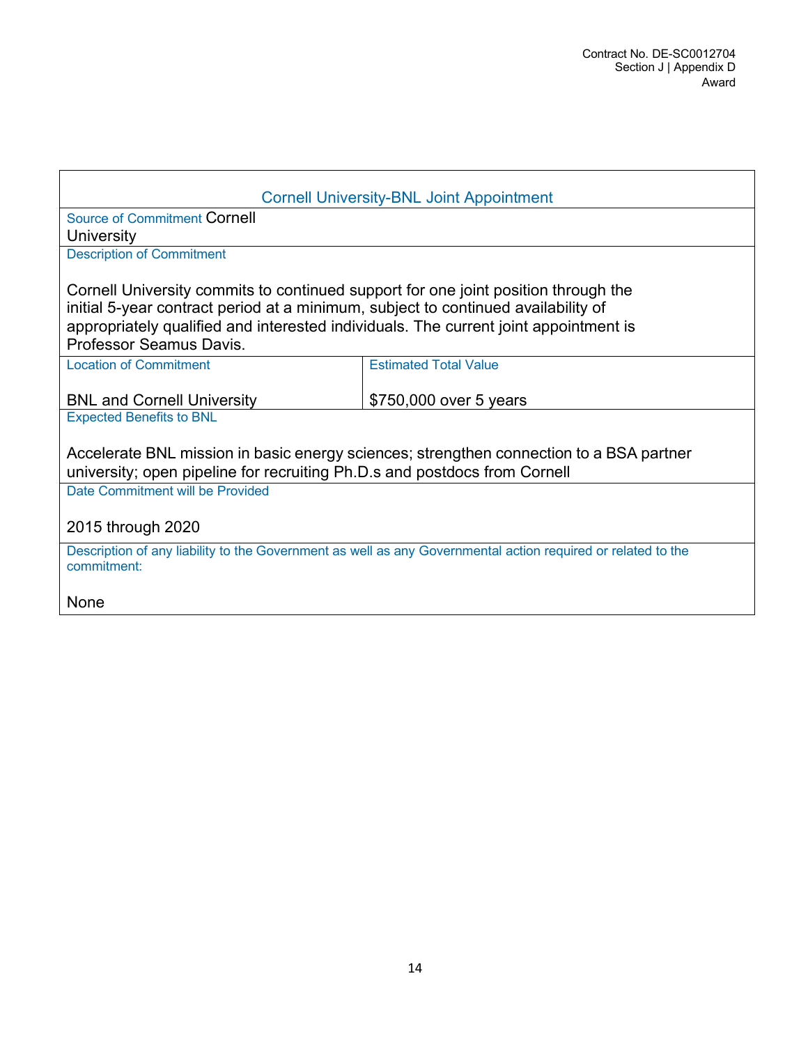| <b>Cornell University-BNL Joint Appointment</b>                                                                                                                                                                                                                                            |                              |  |  |
|--------------------------------------------------------------------------------------------------------------------------------------------------------------------------------------------------------------------------------------------------------------------------------------------|------------------------------|--|--|
| Source of Commitment Cornell                                                                                                                                                                                                                                                               |                              |  |  |
| University                                                                                                                                                                                                                                                                                 |                              |  |  |
| <b>Description of Commitment</b>                                                                                                                                                                                                                                                           |                              |  |  |
| Cornell University commits to continued support for one joint position through the<br>initial 5-year contract period at a minimum, subject to continued availability of<br>appropriately qualified and interested individuals. The current joint appointment is<br>Professor Seamus Davis. |                              |  |  |
| <b>Location of Commitment</b>                                                                                                                                                                                                                                                              | <b>Estimated Total Value</b> |  |  |
|                                                                                                                                                                                                                                                                                            |                              |  |  |
| <b>BNL and Cornell University</b>                                                                                                                                                                                                                                                          | \$750,000 over 5 years       |  |  |
| <b>Expected Benefits to BNL</b>                                                                                                                                                                                                                                                            |                              |  |  |
| Accelerate BNL mission in basic energy sciences; strengthen connection to a BSA partner<br>university; open pipeline for recruiting Ph.D.s and postdocs from Cornell                                                                                                                       |                              |  |  |
| Date Commitment will be Provided                                                                                                                                                                                                                                                           |                              |  |  |
| 2015 through 2020                                                                                                                                                                                                                                                                          |                              |  |  |
| Description of any liability to the Government as well as any Governmental action required or related to the<br>commitment:                                                                                                                                                                |                              |  |  |
| None                                                                                                                                                                                                                                                                                       |                              |  |  |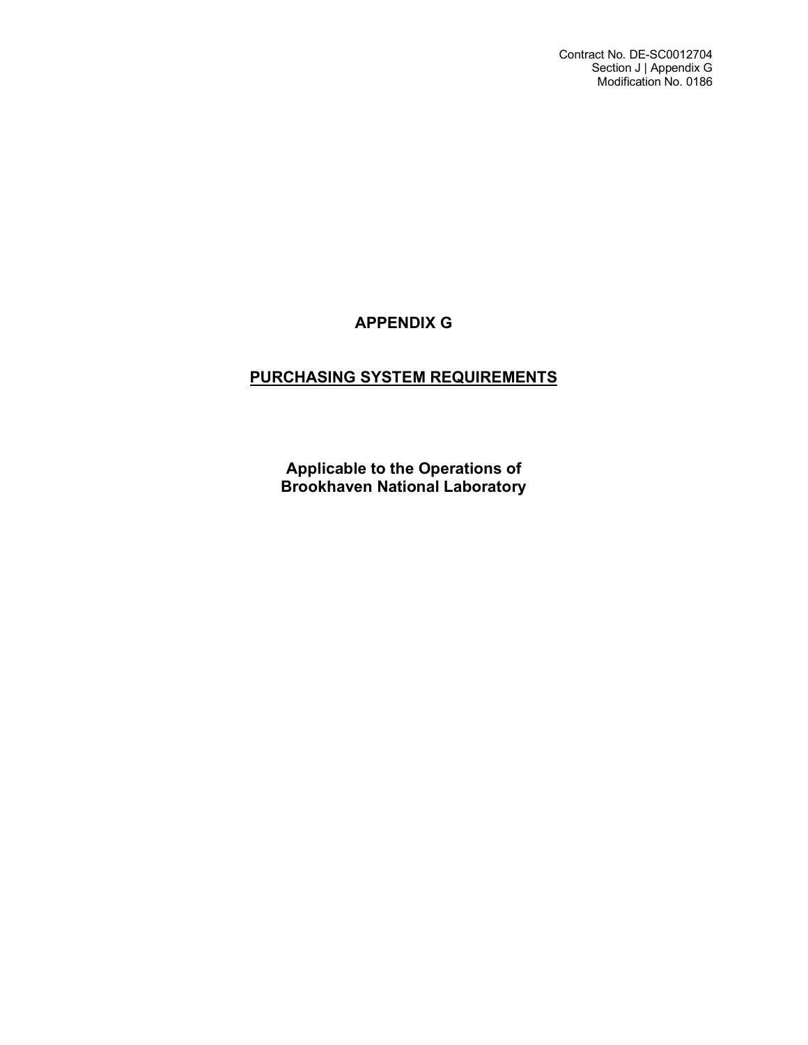# **APPENDIX G**

# **PURCHASING SYSTEM REQUIREMENTS**

**Applicable to the Operations of Brookhaven National Laboratory**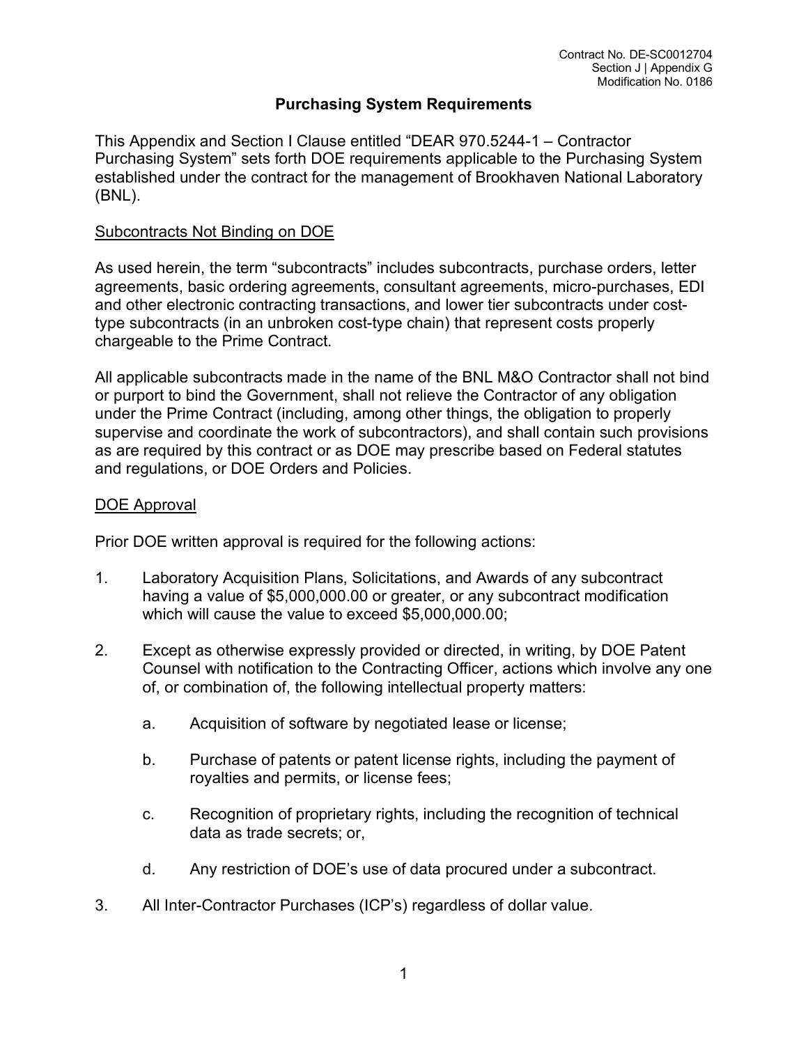# **Purchasing System Requirements**

This Appendix and Section I Clause entitled "DEAR 970.5244-1 – Contractor Purchasing System" sets forth DOE requirements applicable to the Purchasing System established under the contract for the management of Brookhaven National Laboratory (BNL).

### Subcontracts Not Binding on DOE

As used herein, the term "subcontracts" includes subcontracts, purchase orders, letter agreements, basic ordering agreements, consultant agreements, micro-purchases, EDI and other electronic contracting transactions, and lower tier subcontracts under costtype subcontracts (in an unbroken cost-type chain) that represent costs properly chargeable to the Prime Contract.

All applicable subcontracts made in the name of the BNL M&O Contractor shall not bind or purport to bind the Government, shall not relieve the Contractor of any obligation under the Prime Contract (including, among other things, the obligation to properly supervise and coordinate the work of subcontractors), and shall contain such provisions as are required by this contract or as DOE may prescribe based on Federal statutes and regulations, or DOE Orders and Policies.

## DOE Approval

Prior DOE written approval is required for the following actions:

- 1. Laboratory Acquisition Plans, Solicitations, and Awards of any subcontract having a value of \$5,000,000.00 or greater, or any subcontract modification which will cause the value to exceed \$5,000,000.00;
- 2. Except as otherwise expressly provided or directed, in writing, by DOE Patent Counsel with notification to the Contracting Officer, actions which involve any one of, or combination of, the following intellectual property matters:
	- a. Acquisition of software by negotiated lease or license;
	- b. Purchase of patents or patent license rights, including the payment of royalties and permits, or license fees;
	- c. Recognition of proprietary rights, including the recognition of technical data as trade secrets; or,
	- d. Any restriction of DOE's use of data procured under a subcontract.
- 3. All Inter-Contractor Purchases (ICP's) regardless of dollar value.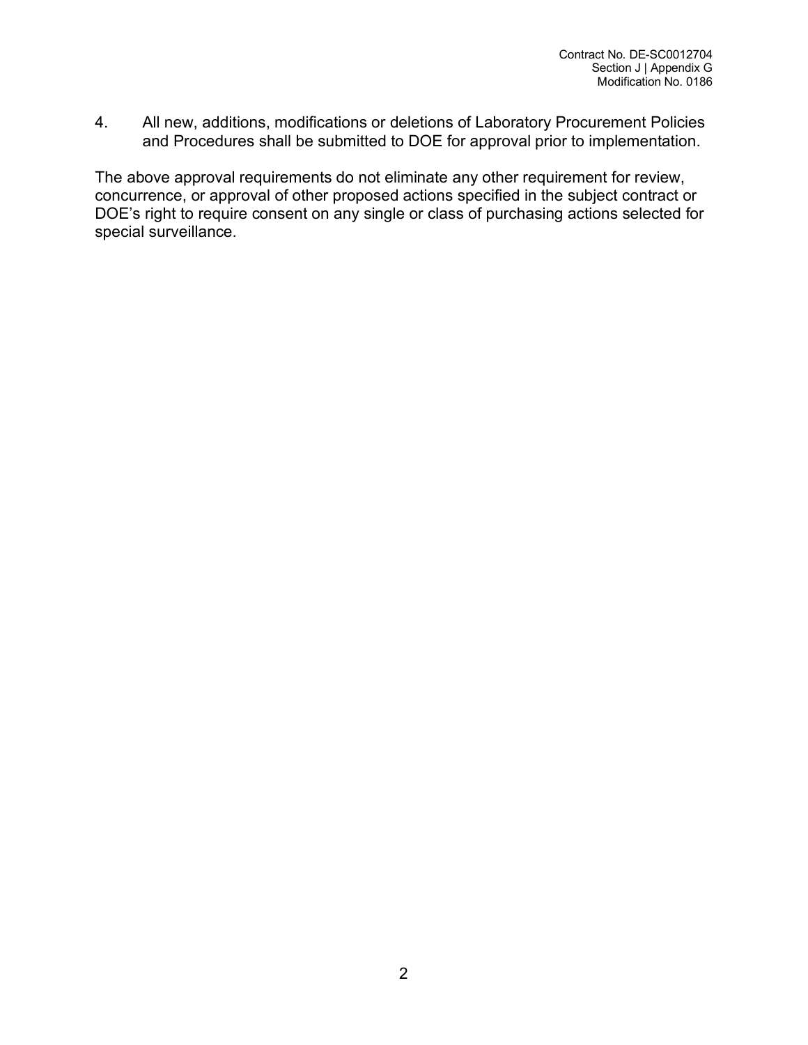4. All new, additions, modifications or deletions of Laboratory Procurement Policies and Procedures shall be submitted to DOE for approval prior to implementation.

The above approval requirements do not eliminate any other requirement for review, concurrence, or approval of other proposed actions specified in the subject contract or DOE's right to require consent on any single or class of purchasing actions selected for special surveillance.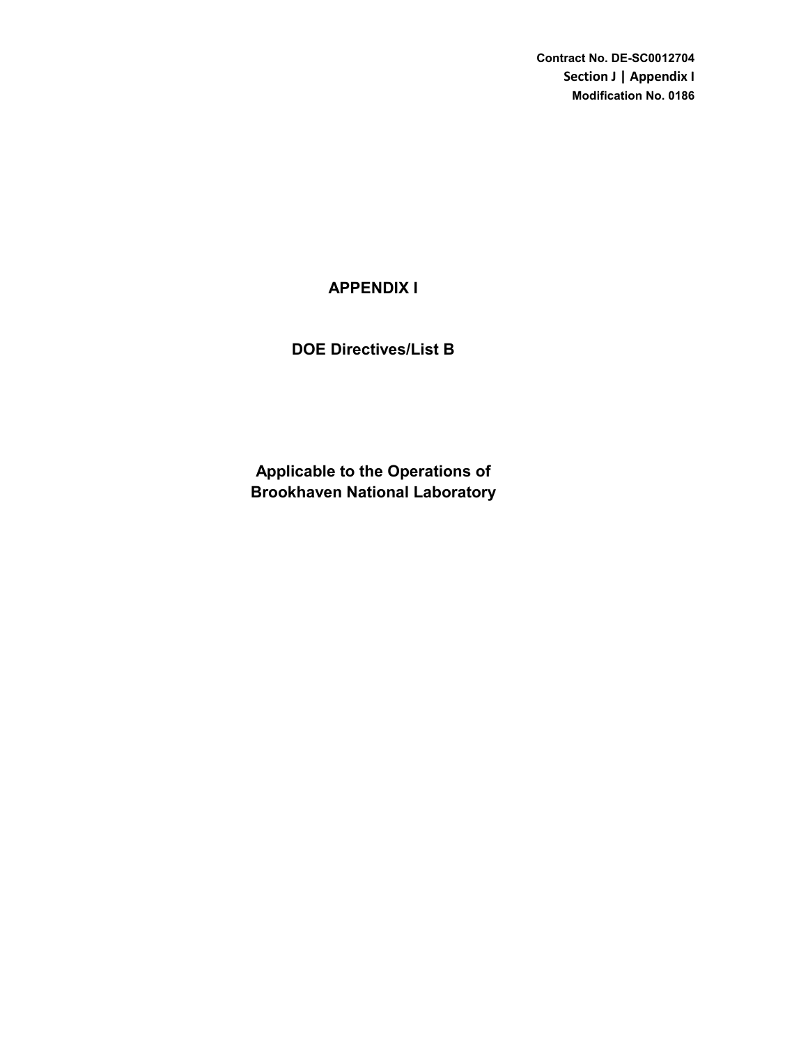**Contract No. DE-SC0012704 Section J | Appendix I Modification No. 0186**

# **APPENDIX I**

# **DOE Directives/List B**

**Brookhaven National Laboratory Applicable to the Operations of**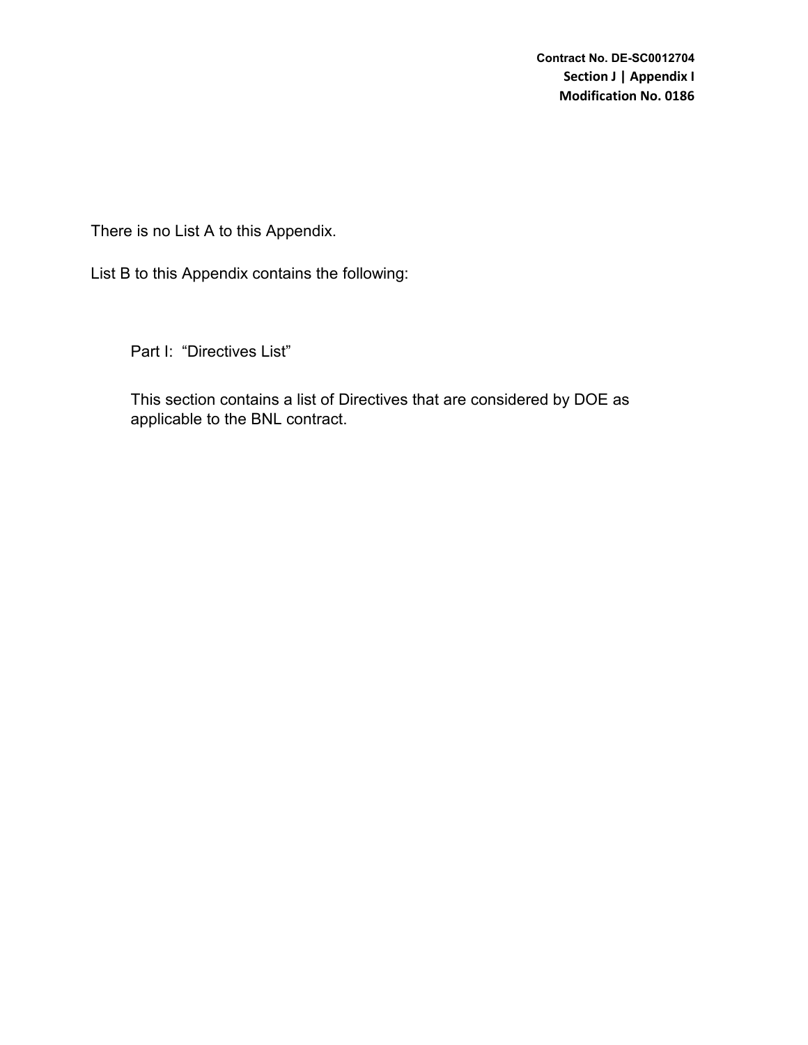There is no List A to this Appendix.

List B to this Appendix contains the following:

Part I: "Directives List"

This section contains a list of Directives that are considered by DOE as applicable to the BNL contract.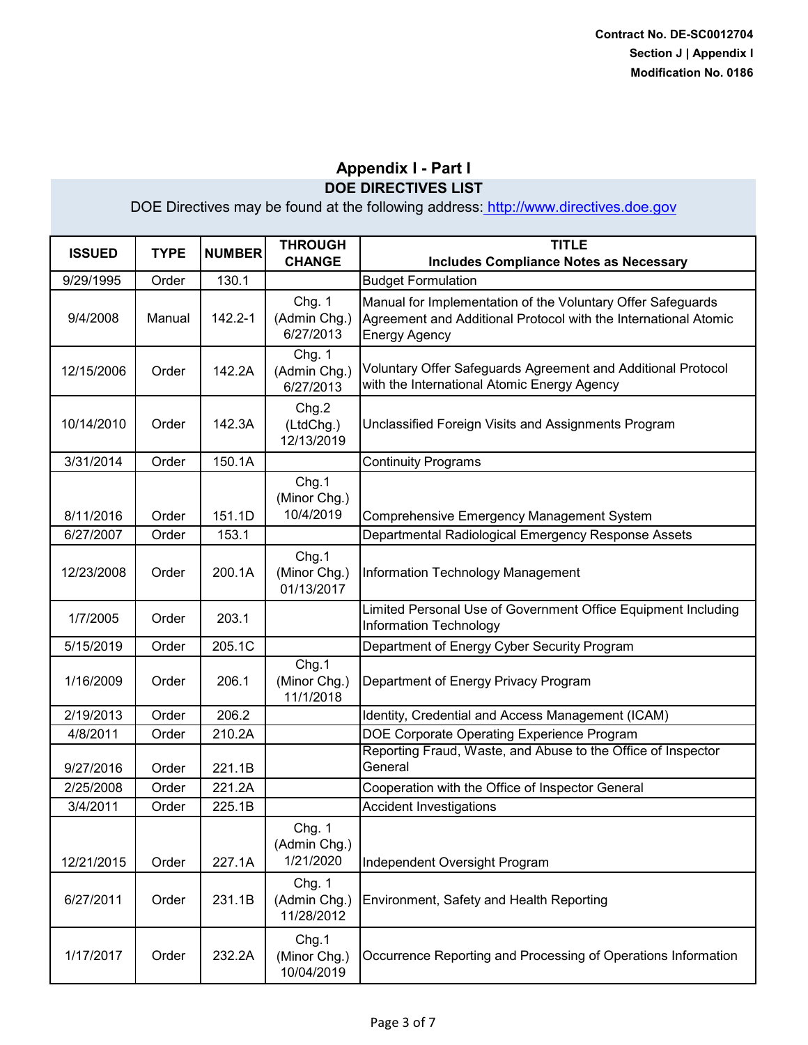| <b>ISSUED</b> | <b>TYPE</b> | <b>NUMBER</b> | <b>THROUGH</b><br><b>CHANGE</b>      | <b>TITLE</b><br><b>Includes Compliance Notes as Necessary</b>                                                                                          |
|---------------|-------------|---------------|--------------------------------------|--------------------------------------------------------------------------------------------------------------------------------------------------------|
| 9/29/1995     | Order       | 130.1         |                                      | <b>Budget Formulation</b>                                                                                                                              |
| 9/4/2008      | Manual      | 142.2-1       | Chg. 1<br>(Admin Chg.)<br>6/27/2013  | Manual for Implementation of the Voluntary Offer Safeguards<br>Agreement and Additional Protocol with the International Atomic<br><b>Energy Agency</b> |
| 12/15/2006    | Order       | 142.2A        | Chg. 1<br>(Admin Chg.)<br>6/27/2013  | Voluntary Offer Safeguards Agreement and Additional Protocol<br>with the International Atomic Energy Agency                                            |
| 10/14/2010    | Order       | 142.3A        | Chg.2<br>(LtdChg.)<br>12/13/2019     | Unclassified Foreign Visits and Assignments Program                                                                                                    |
| 3/31/2014     | Order       | 150.1A        |                                      | <b>Continuity Programs</b>                                                                                                                             |
| 8/11/2016     | Order       | 151.1D        | Chg.1<br>(Minor Chg.)<br>10/4/2019   | <b>Comprehensive Emergency Management System</b>                                                                                                       |
| 6/27/2007     | Order       | 153.1         |                                      | Departmental Radiological Emergency Response Assets                                                                                                    |
| 12/23/2008    | Order       | 200.1A        | Chg.1<br>(Minor Chg.)<br>01/13/2017  | Information Technology Management                                                                                                                      |
| 1/7/2005      | Order       | 203.1         |                                      | Limited Personal Use of Government Office Equipment Including<br>Information Technology                                                                |
| 5/15/2019     | Order       | 205.1C        |                                      | Department of Energy Cyber Security Program                                                                                                            |
| 1/16/2009     | Order       | 206.1         | Chg.1<br>(Minor Chg.)<br>11/1/2018   | Department of Energy Privacy Program                                                                                                                   |
| 2/19/2013     | Order       | 206.2         |                                      | Identity, Credential and Access Management (ICAM)                                                                                                      |
| 4/8/2011      | Order       | 210.2A        |                                      | DOE Corporate Operating Experience Program                                                                                                             |
| 9/27/2016     | Order       | 221.1B        |                                      | Reporting Fraud, Waste, and Abuse to the Office of Inspector<br>General                                                                                |
| 2/25/2008     | Order       | 221.2A        |                                      | Cooperation with the Office of Inspector General                                                                                                       |
| 3/4/2011      | Order       | 225.1B        |                                      | <b>Accident Investigations</b>                                                                                                                         |
| 12/21/2015    | Order       | 227.1A        | Chg. 1<br>(Admin Chg.)<br>1/21/2020  | Independent Oversight Program                                                                                                                          |
| 6/27/2011     | Order       | 231.1B        | Chg. 1<br>(Admin Chg.)<br>11/28/2012 | Environment, Safety and Health Reporting                                                                                                               |
| 1/17/2017     | Order       | 232.2A        | Chg.1<br>(Minor Chg.)<br>10/04/2019  | Occurrence Reporting and Processing of Operations Information                                                                                          |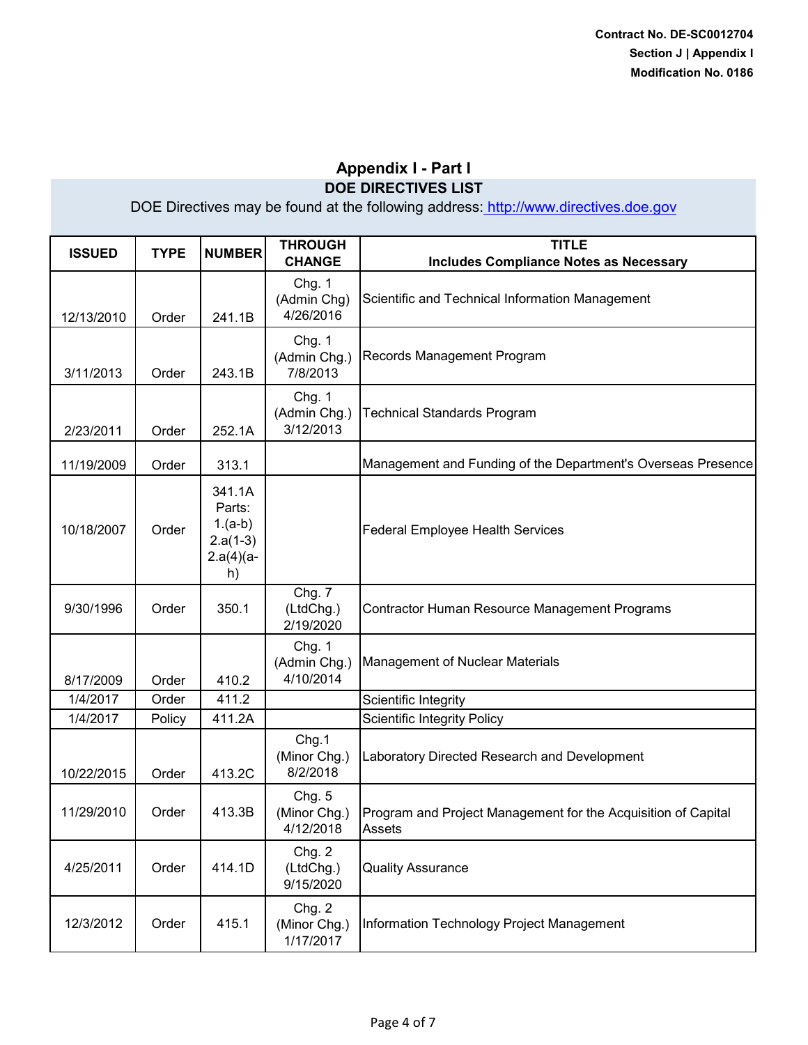| <b>ISSUED</b> | <b>TYPE</b> | <b>NUMBER</b>                                                     | <b>THROUGH</b><br><b>CHANGE</b>     | <b>TITLE</b><br><b>Includes Compliance Notes as Necessary</b>           |
|---------------|-------------|-------------------------------------------------------------------|-------------------------------------|-------------------------------------------------------------------------|
| 12/13/2010    | Order       | 241.1B                                                            | Chg. 1<br>(Admin Chg)<br>4/26/2016  | Scientific and Technical Information Management                         |
| 3/11/2013     | Order       | 243.1B                                                            | Chg. 1<br>(Admin Chg.)<br>7/8/2013  | Records Management Program                                              |
| 2/23/2011     | Order       | 252.1A                                                            | Chg. 1<br>(Admin Chg.)<br>3/12/2013 | <b>Technical Standards Program</b>                                      |
| 11/19/2009    | Order       | 313.1                                                             |                                     | Management and Funding of the Department's Overseas Presence            |
| 10/18/2007    | Order       | 341.1A<br>Parts:<br>$1.(a-b)$<br>$2.a(1-3)$<br>$2.a(4)(a -$<br>h) |                                     | <b>Federal Employee Health Services</b>                                 |
| 9/30/1996     | Order       | 350.1                                                             | Chg. 7<br>(LtdChg.)<br>2/19/2020    | Contractor Human Resource Management Programs                           |
| 8/17/2009     | Order       | 410.2                                                             | Chg. 1<br>(Admin Chg.)<br>4/10/2014 | <b>Management of Nuclear Materials</b>                                  |
| 1/4/2017      | Order       | 411.2                                                             |                                     | Scientific Integrity                                                    |
| 1/4/2017      | Policy      | 411.2A                                                            |                                     | <b>Scientific Integrity Policy</b>                                      |
| 10/22/2015    | Order       | 413.2C                                                            | Chg.1<br>(Minor Chg.)<br>8/2/2018   | Laboratory Directed Research and Development                            |
| 11/29/2010    | Order       | 413.3B                                                            | Chg. 5<br>(Minor Chg.)<br>4/12/2018 | Program and Project Management for the Acquisition of Capital<br>Assets |
| 4/25/2011     | Order       | 414.1D                                                            | Chg. 2<br>(LtdChg.)<br>9/15/2020    | <b>Quality Assurance</b>                                                |
| 12/3/2012     | Order       | 415.1                                                             | Chg. 2<br>(Minor Chg.)<br>1/17/2017 | Information Technology Project Management                               |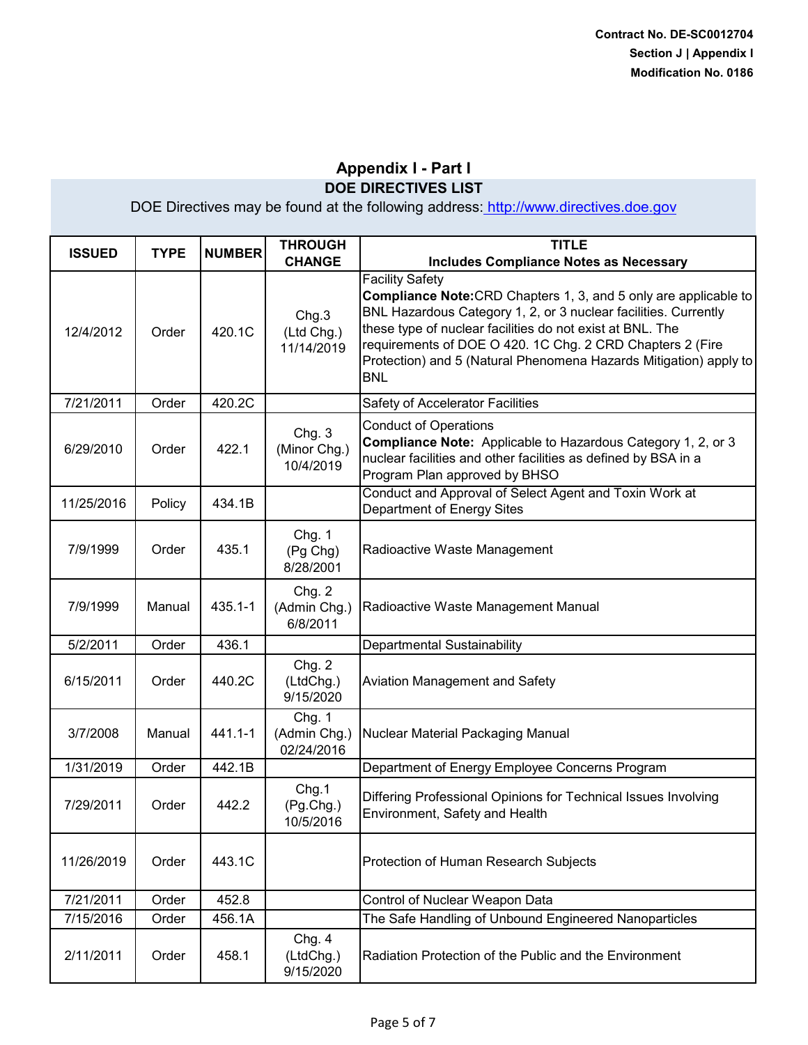| <b>ISSUED</b> | <b>TYPE</b> | <b>NUMBER</b> | <b>THROUGH</b><br><b>CHANGE</b>      | <b>TITLE</b><br><b>Includes Compliance Notes as Necessary</b>                                                                                                                                                                                                                                                                                                                     |
|---------------|-------------|---------------|--------------------------------------|-----------------------------------------------------------------------------------------------------------------------------------------------------------------------------------------------------------------------------------------------------------------------------------------------------------------------------------------------------------------------------------|
| 12/4/2012     | Order       | 420.1C        | Chg.3<br>(Ltd Chg.)<br>11/14/2019    | <b>Facility Safety</b><br><b>Compliance Note:</b> CRD Chapters 1, 3, and 5 only are applicable to<br>BNL Hazardous Category 1, 2, or 3 nuclear facilities. Currently<br>these type of nuclear facilities do not exist at BNL. The<br>requirements of DOE O 420. 1C Chg. 2 CRD Chapters 2 (Fire<br>Protection) and 5 (Natural Phenomena Hazards Mitigation) apply to<br><b>BNL</b> |
| 7/21/2011     | Order       | 420.2C        |                                      | Safety of Accelerator Facilities                                                                                                                                                                                                                                                                                                                                                  |
| 6/29/2010     | Order       | 422.1         | Chg. 3<br>(Minor Chg.)<br>10/4/2019  | <b>Conduct of Operations</b><br>Compliance Note: Applicable to Hazardous Category 1, 2, or 3<br>nuclear facilities and other facilities as defined by BSA in a<br>Program Plan approved by BHSO                                                                                                                                                                                   |
| 11/25/2016    | Policy      | 434.1B        |                                      | Conduct and Approval of Select Agent and Toxin Work at<br>Department of Energy Sites                                                                                                                                                                                                                                                                                              |
| 7/9/1999      | Order       | 435.1         | Chg. 1<br>(Pg Chg)<br>8/28/2001      | Radioactive Waste Management                                                                                                                                                                                                                                                                                                                                                      |
| 7/9/1999      | Manual      | $435.1 - 1$   | Chg. 2<br>(Admin Chg.)<br>6/8/2011   | Radioactive Waste Management Manual                                                                                                                                                                                                                                                                                                                                               |
| 5/2/2011      | Order       | 436.1         |                                      | Departmental Sustainability                                                                                                                                                                                                                                                                                                                                                       |
| 6/15/2011     | Order       | 440.2C        | Chg. 2<br>(LtdChg.)<br>9/15/2020     | Aviation Management and Safety                                                                                                                                                                                                                                                                                                                                                    |
| 3/7/2008      | Manual      | 441.1-1       | Chg. 1<br>(Admin Chg.)<br>02/24/2016 | Nuclear Material Packaging Manual                                                                                                                                                                                                                                                                                                                                                 |
| 1/31/2019     | Order       | 442.1B        |                                      | Department of Energy Employee Concerns Program                                                                                                                                                                                                                                                                                                                                    |
| 7/29/2011     | Order       | 442.2         | Chg.1<br>(Pg.Chg.)<br>10/5/2016      | Differing Professional Opinions for Technical Issues Involving<br>Environment, Safety and Health                                                                                                                                                                                                                                                                                  |
| 11/26/2019    | Order       | 443.1C        |                                      | Protection of Human Research Subjects                                                                                                                                                                                                                                                                                                                                             |
| 7/21/2011     | Order       | 452.8         |                                      | Control of Nuclear Weapon Data                                                                                                                                                                                                                                                                                                                                                    |
| 7/15/2016     | Order       | 456.1A        |                                      | The Safe Handling of Unbound Engineered Nanoparticles                                                                                                                                                                                                                                                                                                                             |
| 2/11/2011     | Order       | 458.1         | Chg. 4<br>(LtdChg.)<br>9/15/2020     | Radiation Protection of the Public and the Environment                                                                                                                                                                                                                                                                                                                            |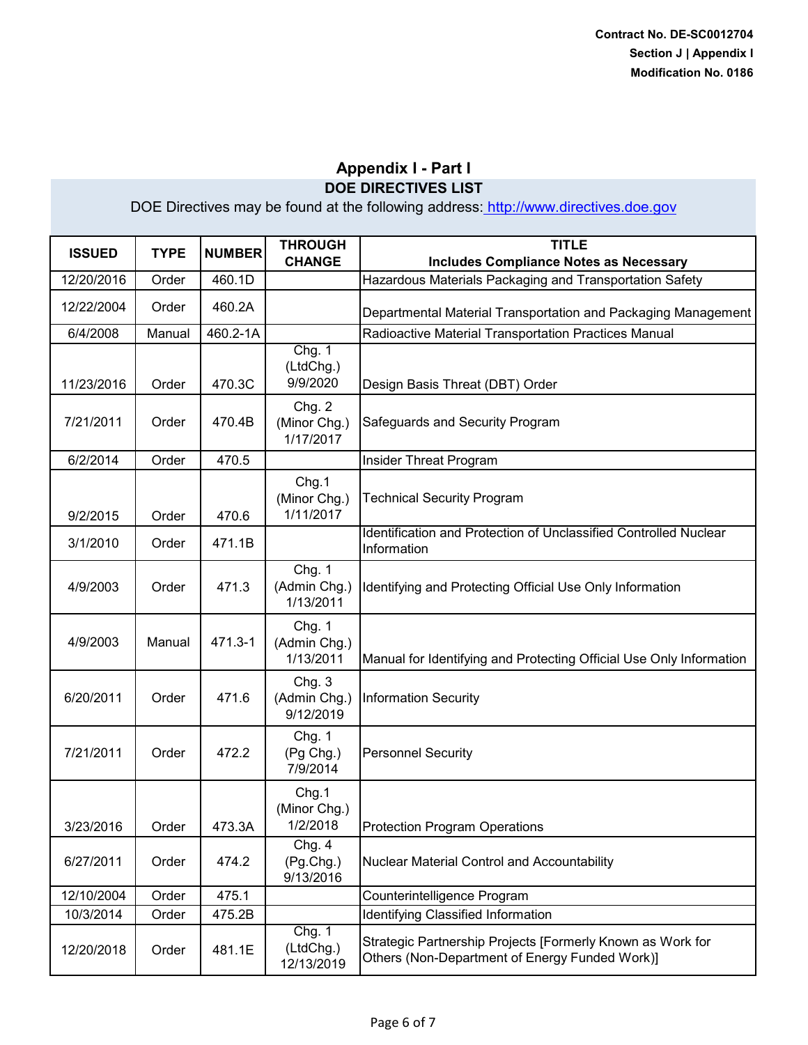| <b>ISSUED</b> | <b>TYPE</b> | <b>NUMBER</b> | <b>THROUGH</b><br><b>CHANGE</b>     | <b>TITLE</b><br><b>Includes Compliance Notes as Necessary</b>                                                |
|---------------|-------------|---------------|-------------------------------------|--------------------------------------------------------------------------------------------------------------|
| 12/20/2016    | Order       | 460.1D        |                                     | Hazardous Materials Packaging and Transportation Safety                                                      |
| 12/22/2004    | Order       | 460.2A        |                                     | Departmental Material Transportation and Packaging Management                                                |
| 6/4/2008      | Manual      | 460.2-1A      |                                     | Radioactive Material Transportation Practices Manual                                                         |
| 11/23/2016    | Order       | 470.3C        | Chg. 1<br>(LtdChg.)<br>9/9/2020     | Design Basis Threat (DBT) Order                                                                              |
| 7/21/2011     | Order       | 470.4B        | Chg. 2<br>(Minor Chg.)<br>1/17/2017 | Safeguards and Security Program                                                                              |
| 6/2/2014      | Order       | 470.5         |                                     | Insider Threat Program                                                                                       |
| 9/2/2015      | Order       | 470.6         | Chg.1<br>(Minor Chg.)<br>1/11/2017  | <b>Technical Security Program</b>                                                                            |
| 3/1/2010      | Order       | 471.1B        |                                     | Identification and Protection of Unclassified Controlled Nuclear<br>Information                              |
| 4/9/2003      | Order       | 471.3         | Chg. 1<br>(Admin Chg.)<br>1/13/2011 | Identifying and Protecting Official Use Only Information                                                     |
| 4/9/2003      | Manual      | 471.3-1       | Chg. 1<br>(Admin Chg.)<br>1/13/2011 | Manual for Identifying and Protecting Official Use Only Information                                          |
| 6/20/2011     | Order       | 471.6         | Chg. 3<br>(Admin Chg.)<br>9/12/2019 | <b>Information Security</b>                                                                                  |
| 7/21/2011     | Order       | 472.2         | Chg. 1<br>(Pg Chg.)<br>7/9/2014     | <b>Personnel Security</b>                                                                                    |
| 3/23/2016     | Order       | 473.3A        | Chg.1<br>(Minor Chg.)<br>1/2/2018   | <b>Protection Program Operations</b>                                                                         |
| 6/27/2011     | Order       | 474.2         | Chg. 4<br>(Pg.Chg.)<br>9/13/2016    | <b>Nuclear Material Control and Accountability</b>                                                           |
| 12/10/2004    | Order       | 475.1         |                                     | Counterintelligence Program                                                                                  |
| 10/3/2014     | Order       | 475.2B        |                                     | <b>Identifying Classified Information</b>                                                                    |
| 12/20/2018    | Order       | 481.1E        | Chg. 1<br>(LtdChg.)<br>12/13/2019   | Strategic Partnership Projects [Formerly Known as Work for<br>Others (Non-Department of Energy Funded Work)] |